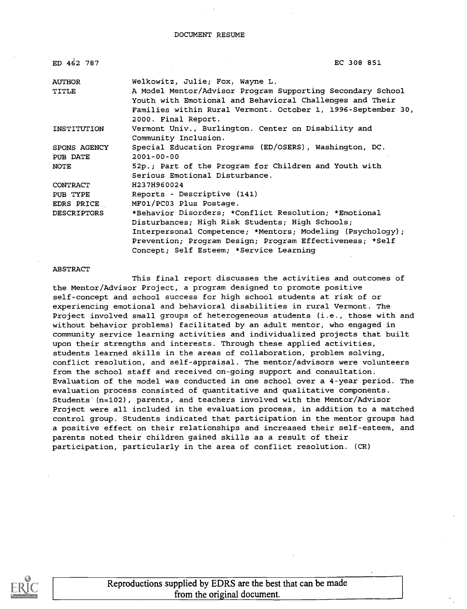#### DOCUMENT RESUME

| ED 462 787         | EC 308 851                                                                                                             |
|--------------------|------------------------------------------------------------------------------------------------------------------------|
| <b>AUTHOR</b>      | Welkowitz, Julie; Fox, Wayne L.                                                                                        |
| TITLE              | A Model Mentor/Advisor Program Supporting Secondary School<br>Youth with Emotional and Behavioral Challenges and Their |
|                    | Families within Rural Vermont. October 1, 1996-September 30,<br>2000. Final Report.                                    |
| INSTITUTION        | Vermont Univ., Burlington. Center on Disability and<br>Community Inclusion.                                            |
| SPONS AGENCY       | Special Education Programs (ED/OSERS), Washington, DC.                                                                 |
| PUB DATE           | $2001 - 00 - 00$                                                                                                       |
| <b>NOTE</b>        | 52p.; Part of the Program for Children and Youth with<br>Serious Emotional Disturbance.                                |
| <b>CONTRACT</b>    | H237H960024                                                                                                            |
| PUB TYPE           | Reports - Descriptive (141)                                                                                            |
| EDRS PRICE         | MF01/PC03 Plus Postage.                                                                                                |
| <b>DESCRIPTORS</b> | *Behavior Disorders; *Conflict Resolution; *Emotional                                                                  |
|                    | Disturbances; High Risk Students; High Schools;                                                                        |
|                    | Interpersonal Competence; *Mentors; Modeling (Psychology);                                                             |
|                    | Prevention; Program Design; Program Effectiveness; *Self                                                               |
|                    | Concept; Self Esteem; *Service Learning                                                                                |

#### ABSTRACT

This final report discusses the activities and outcomes of the Mentor/Advisor Project, a program designed to promote positive self-concept and school success for high school students at risk of or experiencing emotional and behavioral disabilities in rural Vermont. The Project involved small groups of heterogeneous students (i.e., those with and without behavior problems) facilitated by an adult mentor, who engaged in community service learning activities and individualized projects that built upon their strengths and interests. Through these applied activities, students learned skills in the areas of collaboration, problem solving, conflict resolution, and self-appraisal. The mentor/advisors were volunteers from the school staff and received on-going support and consultation. Evaluation of the model was conducted in one school over a 4-year period. The evaluation process consisted of quantitative and qualitative components. Students (n=102), parents, and teachers involved with the Mentor/Advisor Project were all included in the evaluation process, in addition to a matched control group. Students indicated that participation in the mentor groups had a positive effect on their relationships and increased their self-esteem, and parents noted their children gained skills as a result of their participation, particularly in the area of conflict resolution. (CR)

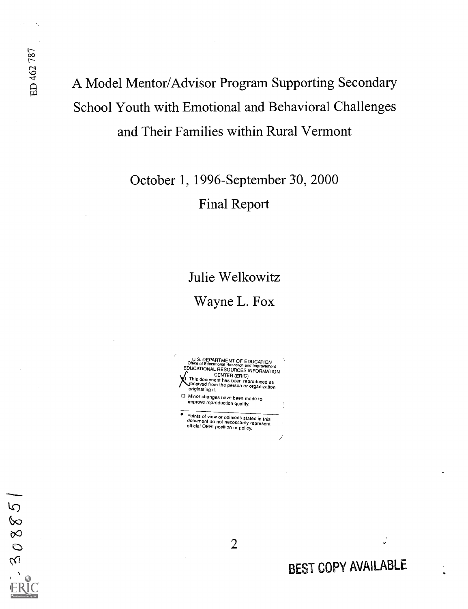# A Model Mentor/Advisor Program Supporting Secondary School Youth with Emotional and Behavioral Challenges and Their Families within Rural Vermont

October 1, 1996-September 30, 2000 Final Report

# Julie Welkowitz

Wayne L. Fox

Office of Educational Research and Improvement<br>EDUCATIONAL RESOURCES INFORMATION<br>FRIESOURCES INFORMATION **This document has been reproduced as<br>This document has been reproduced as<br>originating it.**<br>originating it. O Minor changes have been made to improve reproduction quality. Points of view or opinions stated in this document do not necessarily represent official OERI position or policy.

 $\overline{5}$  $\infty$  $\infty$  $\ddot{\circ}$  $\overline{M}$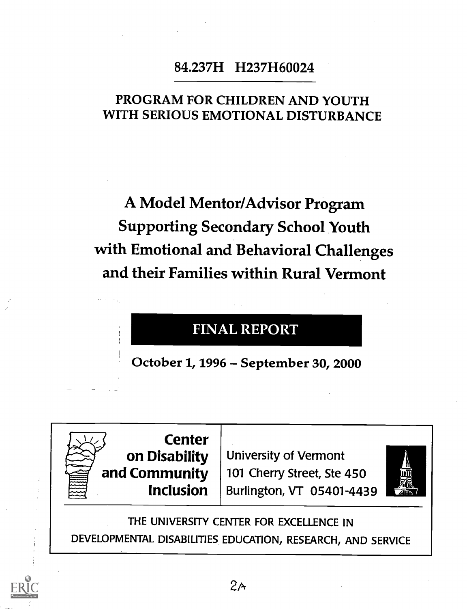## 84.237H H237H60024

### PROGRAM FOR CHILDREN AND YOUTH WITH SERIOUS EMOTIONAL DISTURBANCE

A Model Mentor/Advisor Program Supporting Secondary School Youth with Emotional and Behavioral Challenges and their Families within Rural Vermont

## FINAL REPORT

October 1, 1996 – September 30, 2000



**Inclusion** | Burlington, VT 05401-4439  $\frac{200}{200}$  | University of Vermont 101 Cherry Street, Ste 450



THE UNIVERSITY CENTER FOR EXCELLENCE IN DEVELOPMENTAL DISABILITIES EDUCATION, RESEARCH, AND SERVICE

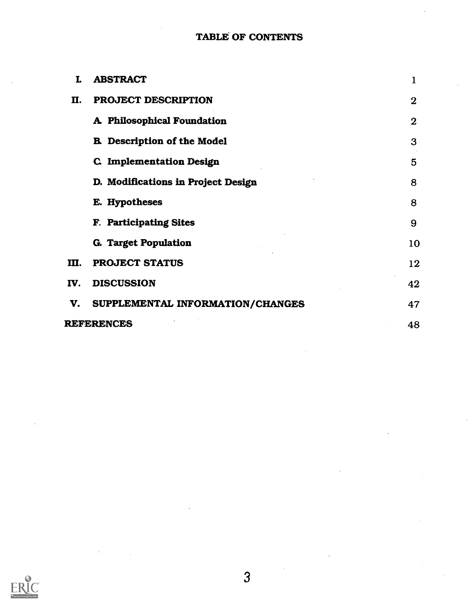#### TABLE OF CONTENTS

| T.  | <b>ABSTRACT</b>                    | $\mathbf{I}$ |  |
|-----|------------------------------------|--------------|--|
| П.  | PROJECT DESCRIPTION                | $\bf{2}$     |  |
|     | A Philosophical Foundation         | $\bf{2}$     |  |
|     | <b>B.</b> Description of the Model | 3            |  |
|     | <b>C. Implementation Design</b>    | 5            |  |
|     | D. Modifications in Project Design | 8            |  |
|     | E. Hypotheses                      | 8            |  |
|     | F. Participating Sites             | 9            |  |
|     | G. Target Population               | 10           |  |
| Ш.  | <b>PROJECT STATUS</b>              | 12           |  |
| IV. | <b>DISCUSSION</b>                  | 42           |  |
| V.  | SUPPLEMENTAL INFORMATION/CHANGES   | 47           |  |
|     | <b>REFERENCES</b><br>48            |              |  |

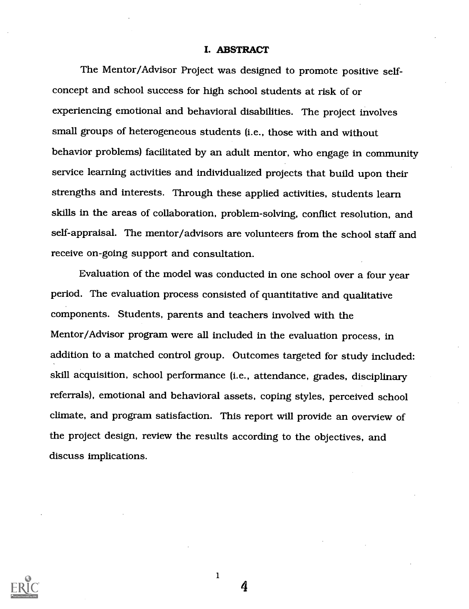#### I. ABSTRACT

The Mentor/Advisor Project was designed to promote positive selfconcept and school success for high school students at risk of or experiencing emotional and behavioral disabilities. The project involves small groups of heterogeneous students (i.e., those with and without behavior problems) facilitated by an adult mentor, who engage in community service learning activities and individualized projects that build upon their strengths and interests. Through these applied activities, students learn skills in the areas of collaboration, problem-solving, conflict resolution, and self-appraisal. The mentor/advisors are volunteers from the school staff and receive on-going support and consultation.

Evaluation of the model was conducted in one school over a four year period. The evaluation process consisted of quantitative and qualitative components. Students, parents and teachers involved with the Mentor/Advisor program were all included in the evaluation process, in addition to a matched control group. Outcomes targeted for study included: skill acquisition, school performance (i.e., attendance, grades, disciplinary referrals), emotional and behavioral assets, coping styles, perceived school climate, and program satisfaction. This report will provide an overview of the project design, review the results according to the objectives, and discuss implications.



1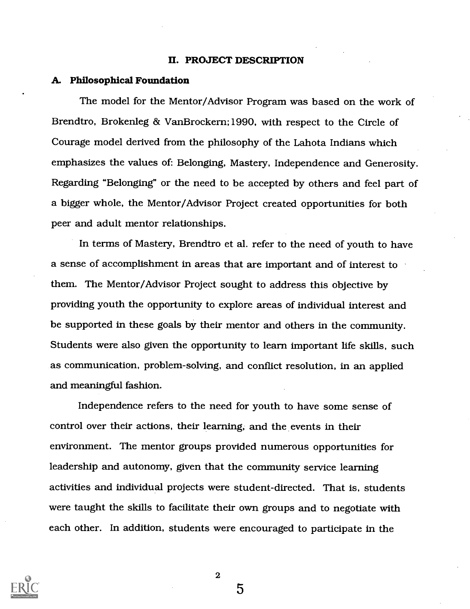#### IL PROJECT DESCRIPTION

#### A. Philosophical Foundation

The model for the Mentor/Advisor Program was based on the work of Brendtro, Brokenleg & VanBrockern;1990, with respect to the Circle of Courage model derived from the philosophy of the Lahota Indians which emphasizes the values of: Belonging, Mastery, Independence and Generosity. Regarding "Belonging" or the need to be accepted by others and feel part of a bigger whole, the Mentor/Advisor Project created opportunities for both peer and adult mentor relationships.

In terms of Mastery, Brendtro et al. refer to the need of youth to have a sense of accomplishment in areas that are important and of interest to them. The Mentor/Advisor Project sought to address this objective by providing youth the opportunity to explore areas of individual interest and be supported in these goals by their mentor and others in the community. Students were also given the opportunity to learn important life skills, such as communication, problem-solving, and conflict resolution, in an applied and meaningful fashion.

Independence refers to the need for youth to have some sense of control over their actions, their learning, and the events in their environment. The mentor groups provided numerous opportunities for leadership and autonomy, given that the community service learning activities and individual projects were student-directed. That is, students were taught the skills to facilitate their own groups and to negotiate with each other. In addition, students were encouraged to participate in the



2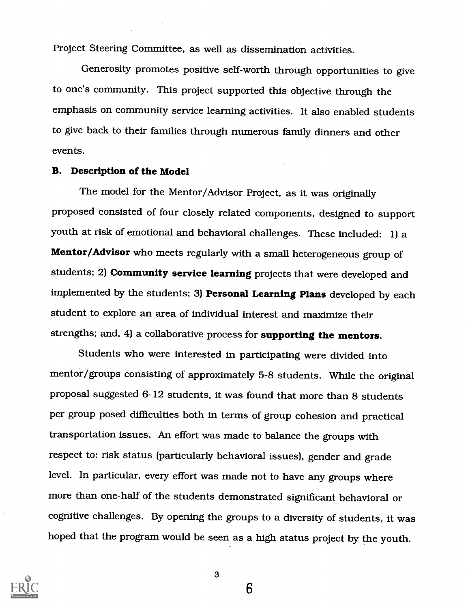Project Steering Committee, as well as dissemination activities.

Generosity promotes positive self-worth through opportunities to give to one's community. This project supported this objective through the emphasis on community service learning activities. It also enabled students to give back to their families through numerous family dinners and other events.

#### B. Description of the Model

The model for the Mentor/Advisor Project, as it was originally proposed consisted of four closely related components, designed to support youth at risk of emotional and behavioral challenges. These included: 1) a Mentor/Advisor who meets regularly with a small heterogeneous group of students; 2) Community service learning projects that were developed and implemented by the students; 3) Personal Learning Plans developed by each student to explore an area of individual interest and maximize their strengths; and, 4) a collaborative process for supporting the mentors.

Students who were interested in participating were divided into mentor/groups consisting of approximately 5-8 students. While the original proposal suggested 6-12 students, it was found that more than 8 students per group posed difficulties both in terms of group cohesion and practical transportation issues. An effort was made to balance the groups with respect to: risk status (particularly behavioral issues), gender and grade level. In particular, every effort was made not to have any groups where more than one-half of the students demonstrated significant behavioral or cognitive challenges. By opening the groups to a diversity of students, it was hoped that the program would be seen as a high status project by the youth.



3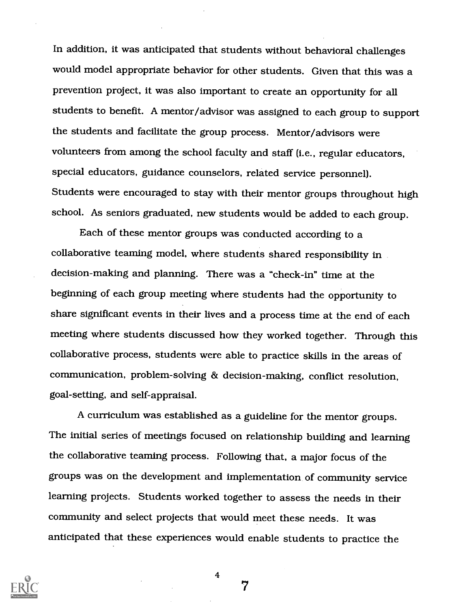In addition, it was anticipated that students without behavioral challenges would model appropriate behavior for other students. Given that this was a prevention project, it was also important to create an opportunity for all students to benefit. A mentor/advisor was assigned to each group to support the students and facilitate the group process. Mentor/advisors were volunteers from among the school faculty and staff (i.e., regular educators, special educators, guidance counselors, related service personnel). Students were encouraged to stay with their mentor groups throughout high school. As seniors graduated, new students would be added to each group.

Each of these mentor groups was conducted according to a collaborative teaming model, where students shared responsibility in decision-making and planning. There was a "check-in" time at the beginning of each group meeting where students had the opportunity to share significant events in their lives and a process time at the end of each meeting where students discussed how they worked together. Through this collaborative process, students were able to practice skills in the areas of communication, problem-solving & decision-making, conflict resolution, goal-setting, and self-appraisal.

A curriculum was established as a guideline for the mentor groups. The initial series of meetings focused on relationship building and learning the collaborative teaming process. Following that, a major focus of the groups was on the development and implementation of community service learning projects. Students worked together to assess the needs in their community and select projects that would meet these needs. It was anticipated that these experiences would enable students to practice the



4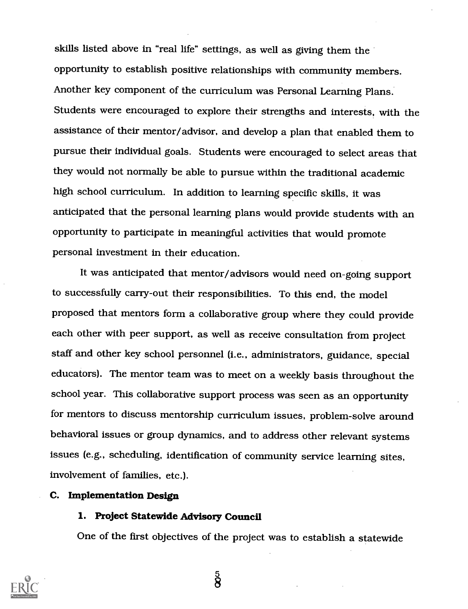skills listed above in "real life" settings, as well as giving them the opportunity to establish positive relationships with community members. Another key component of the curriculum was Personal Learning Plans. Students were encouraged to explore their strengths and interests, with the assistance of their mentor/advisor, and develop a plan that enabled them to pursue their individual goals. Students were encouraged to select areas that they would not normally be able to pursue within the traditional academic high school curriculum. In addition to learning specific skills, it was anticipated that the personal learning plans would provide students with an opportunity to participate in meaningful activities that would promote personal investment in their education.

It was anticipated that mentor/advisors would need on-going support to successfully carry-out their responsibilities. To this end, the model proposed that mentors form a collaborative group where they could provide each other with peer support, as well as receive consultation from project staff and other key school personnel (i.e., administrators, guidance, special educators). The mentor team was to meet on a weekly basis throughout the school year. This collaborative support process was seen as an opportunity for mentors to discuss mentorship curriculum issues, problem-solve around behavioral issues or group dynamics, and to address other relevant systems issues (e.g., scheduling, identification of community service learning sites, involvement of families, etc.).

#### C. Implementation Design

#### 1. Project Statewide Advisory Council

One of the first objectives of the project was to establish a statewide



 $\frac{5}{8}$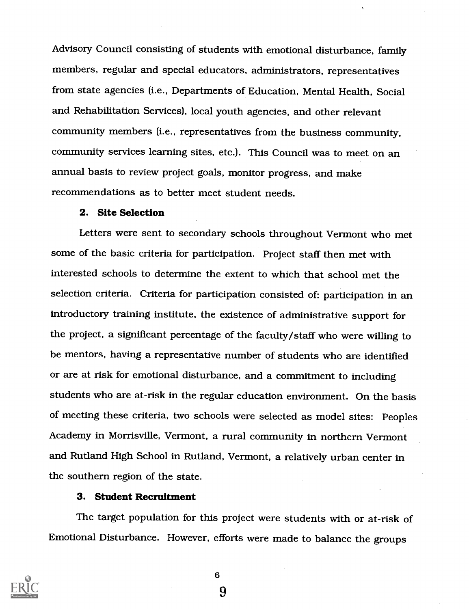Advisory Council consisting of students with emotional disturbance, family members, regular and special educators, administrators, representatives from state agencies (i.e., Departments of Education, Mental Health, Social and Rehabilitation Services), local youth agencies, and other relevant community members (i.e., representatives from the business community, community services learning sites, etc.). This Council was to meet on an annual basis to review project goals, monitor progress, and make recommendations as to better meet student needs.

#### 2. Site Selection

Letters were sent to secondary schools throughout Vermont who met some of the basic criteria for participation. Project staff then met with interested schools to determine the extent to which that school met the selection criteria. Criteria for participation consisted of: participation in an introductory training institute, the existence of administrative support for the project, a significant percentage of the faculty/staff who were willing to be mentors, having a representative number of students who are identified or are at risk for emotional disturbance, and a commitment to including students who are at-risk in the regular education environment. On the basis of meeting these criteria, two schools were selected as model sites: Peoples Academy in Morrisville, Vermont, a rural community in northern Vermont and Rutland High School in Rutland, Vermont, a relatively urban center in the southern region of the state.

#### 3. Student Recruitment

The target population for this project were students with or at-risk of Emotional Disturbance. However, efforts were made to balance the groups



6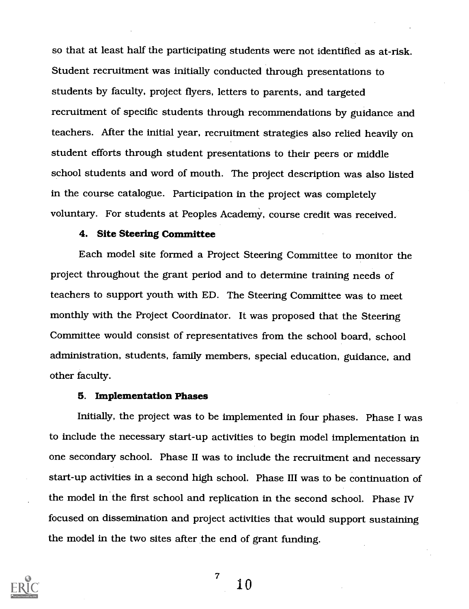so that at least half the participating students were not identified as at-risk. Student recruitment was initially conducted through presentations to students by faculty, project flyers, letters to parents, and targeted recruitment of specific students through recommendations by guidance and teachers. After the initial year, recruitment strategies also relied heavily on student efforts through student presentations to their peers or middle school students and word of mouth. The project description was also listed in the course catalogue. Participation in the project was completely voluntary. For students at Peoples Academy, course credit was received.

#### 4. Site Steering Committee

Each model site formed a Project Steering Committee to monitor the project throughout the grant period and to determine training needs of teachers to support youth with ED. The Steering Committee was to meet monthly with the Project Coordinator. It was proposed that the Steering Committee would consist of representatives from the school board, school administration, students, family members, special education, guidance, and other faculty.

#### 5. Implementation Phases

Initially, the project was to be implemented in four phases. Phase I was to include the necessary start-up activities to begin model implementation in one secondary school. Phase II was to include the recruitment and necessary start-up activities in a second high school. Phase III was to be continuation of the model in the first school and replication in the second school. Phase IV focused on dissemination and project activities that would support sustaining the model in the two sites after the end of grant funding.



10

 $\overline{7}$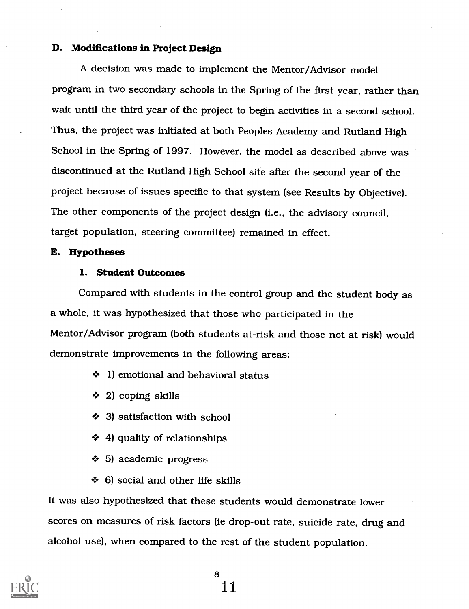#### D. Modifications in Project Design

A decision was made to implement the Mentor/Advisor model program in two secondary schools in the Spring of the first year, rather than wait until the third year of the project to begin activities in a second school. Thus, the project was initiated at both Peoples Academy and Rutland High School in the Spring of 1997. However, the model as described above was discontinued at the Rutland High School site after the second year of the project because of issues specific to that system (see Results by Objective). The other components of the project design (i.e., the advisory council, target population, steering committee) remained in effect.

#### E. Hypotheses

#### 1. Student Outcomes

Compared with students in the control group and the student body as a whole, it was hypothesized that those who participated in the Mentor/Advisor program (both students at-risk and those not at risk) would demonstrate improvements in the following areas:

- ◆ 1) emotional and behavioral status
- $\div$  2) coping skills
- **→ 3) satisfaction with school**
- 4) quality of relationships
- + 5) academic progress
- $\div$  6) social and other life skills

It was also hypothesized that these students would demonstrate lower scores on measures of risk factors (ie drop-out rate, suicide rate, drug and alcohol use), when compared to the rest of the student population.

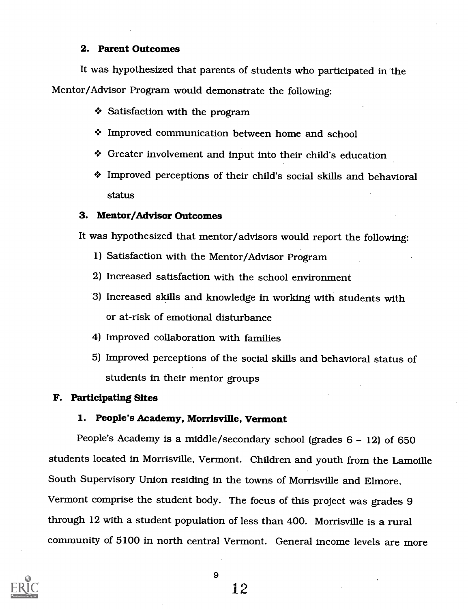#### 2. Parent Outcomes

It was hypothesized that parents of students who participated in 'the Mentor/Advisor Program would demonstrate the following:

Satisfaction with the program

- + Improved communication between home and school
- Greater involvement and input into their child's education
- Improved perceptions of their child's social skills and behavioral status

#### 3. Mentor/Advisor Outcomes

It was hypothesized that mentor/advisors would report the following:

- 1) Satisfaction with the Mentor/Advisor Program
- 2) Increased satisfaction with the school environment
- 3) Increased skills and knowledge in working with students with or at-risk of emotional disturbance
- 4) Improved collaboration with families
- 5) Improved perceptions of the social skills and behavioral status of students in their mentor groups

#### F. Participating Sites

#### 1. People's Academy, Morrisville, Vermont

People's Academy is a middle/secondary school (grades  $6 - 12$ ) of 650 students located in Morrisville, Vermont. Children and youth from the Lamoille South Supervisory Union residing in the towns of Morrisville and Elmore, Vermont comprise the student body. The focus of this project was grades 9 through 12 with a student population of less than 400. Morrisville is a rural community of 5100 in north central Vermont. General income levels are more

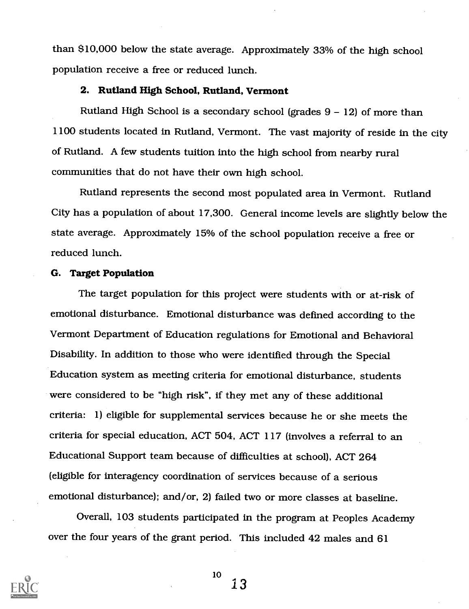than \$10,000 below the state average. Approximately 33% of the high school population receive a free or reduced lunch.

#### 2. Rutland High School, Rutland, Vermont

Rutland High School is a secondary school (grades  $9 - 12$ ) of more than 1100 students located in Rutland, Vermont. The vast majority of reside in the city of Rutland. A few students tuition into the high school from nearby rural communities that do not have their own high school.

Rutland represents the second most populated area in Vermont. Rutland City has a population of about 17,300. General income levels are slightly below the state average. Approximately 15% of the school population receive a free or reduced lunch.

#### G. Target Population

The target population for this project were students with or at-risk of emotional disturbance. Emotional disturbance was defined according to the Vermont Department of Education regulations for Emotional and Behavioral Disability. In addition to those who were identified through the Special Education system as meeting criteria for emotional disturbance, students were considered to be "high risk", if they met any of these additional criteria: 1) eligible for supplemental services because he or she meets the criteria for special education, ACT 504, ACT 117 (involves a referral to an Educational Support team because of difficulties at school), ACT 264 (eligible for interagency coordination of services because of a serious emotional disturbance); and/or, 2) failed two or more classes at baseline.

Overall, 103 students participated in the program at Peoples Academy over the four years of the grant period. This included 42 males and 61

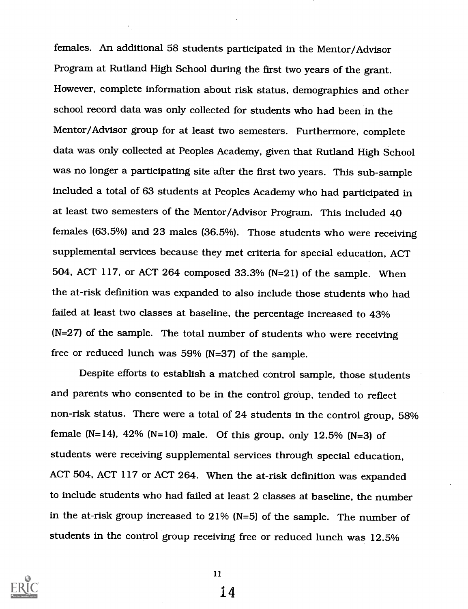females. An additional 58 students participated in the Mentor/Advisor Program at Rutland High School during the first two years of the grant. However, complete information about risk status, demographics and other school record data was only collected for students who had been in the Mentor/Advisor group for at least two semesters. Furthermore, complete data was only collected at Peoples Academy, given that Rutland High School was no longer a participating site after the first two years. This sub-sample included a total of 63 students at Peoples Academy who had participated in at least two semesters of the Mentor/Advisor Program. This included 40 females (63.5%) and 23 males (36.5%). Those students who were receiving supplemental services because they met criteria for special education, ACT 504, ACT 117, or ACT 264 composed 33.3% (N=21) of the sample. When the at-risk definition was expanded to also include those students who had failed at least two classes at baseline, the percentage increased to 43% (N=27) of the sample. The total number of students who were receiving free or reduced lunch was 59% (N=37) of the sample.

Despite efforts to establish a matched control sample, those students and parents who consented to be in the control group, tended to reflect non-risk status. There were a total of 24 students in the control group, 58% female (N=14), 42% (N=10) male. Of this group, only 12.5% (N=3) of students were receiving supplemental services through special education, ACT 504, ACT 117 or ACT 264. When the at-risk definition was expanded to include students who had failed at least 2 classes at baseline, the number in the at-risk group increased to 21% (N=5) of the sample. The number of students in the control group receiving free or reduced lunch was 12.5%



11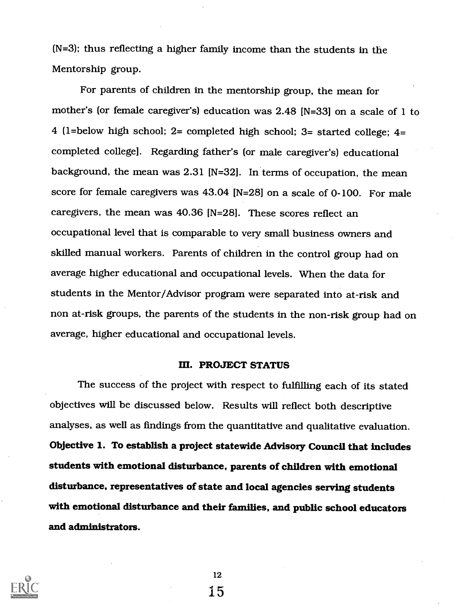(N=3); thus reflecting a higher family income than the students in the Mentorship group.

For parents of children in the mentorship group, the mean for mother's (or female caregiver's) education was 2.48 [N=33] on a scale of 1 to 4 (1=below high school; 2= completed high school; 3= started college; 4= completed college]. Regarding father's (or male caregiver's) educational background, the mean was 2.31 [N=32]. In terms of occupation, the mean score for female caregivers was 43.04 [N=28] on a scale of 0-100. For male caregivers, the mean was 40.36 [N=281. These scores reflect an occupational level that is comparable to very small business owners and skilled manual workers. Parents of children in the control group had on average higher educational and occupational levels. When the data for students in the Mentor/Advisor program were separated into at-risk and non at-risk groups, the parents of the students in the non-risk group had on average, higher educational and occupational levels.

#### III. PROJECT STATUS

The success of the project with respect to fulfilling each of its stated objectives will be discussed below. Results will reflect both descriptive analyses, as well as findings from the quantitative and qualitative evaluation. Objective 1. To establish a project statewide Advisory Council that includes students with emotional disturbance, parents of children with emotional disturbance, representatives of state and local agencies serving students with emotional disturbance and their families, and public school educators and administrators.

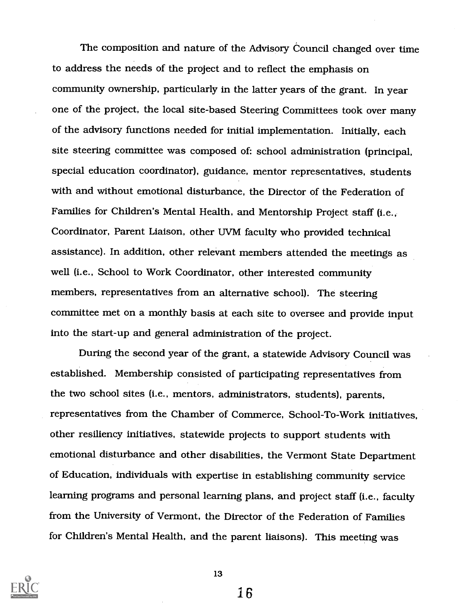The composition and nature of the Advisory Council changed over time to address the needs of the project and to reflect the emphasis on community ownership, particularly in the latter years of the grant. In year one of the project, the local site-based Steering Committees took over many of the advisory functions needed for initial implementation. Initially, each site steering committee was composed of: school administration (principal, special education coordinator), guidance, mentor representatives, students with and without emotional disturbance, the Director of the Federation of Families for Children's Mental Health, and Mentorship Project staff (i.e., Coordinator, Parent Liaison, other UVM faculty who provided technical assistance). In addition, other relevant members attended the meetings as well (i.e., School to Work Coordinator, other interested community members, representatives from an alternative school). The steering committee met on a monthly basis at each site to oversee and provide input into the start-up and general administration of the project.

During the second year of the grant, a statewide Advisory Council was established. Membership consisted of participating representatives from the two school sites (i.e., mentors, administrators, students), parents, representatives from the Chamber of Commerce, School-To-Work initiatives, other resiliency initiatives, statewide projects to support students with emotional disturbance and other disabilities, the Vermont State Department of Education, individuals with expertise in establishing community service learning programs and personal learning plans, and project staff (i.e., faculty from the University of Vermont, the Director of the Federation of Families for Children's Mental Health, and the parent liaisons). This meeting was



13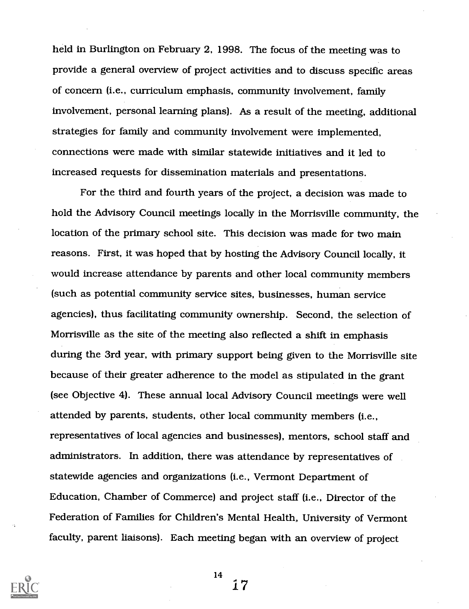held in Burlington on February 2, 1998. The focus of the meeting was to provide a general overview of project activities and to discuss specific areas of concern (i.e., curriculum emphasis, community involvement, family involvement, personal learning plans). As a result of the meeting, additional strategies for family and community involvement were implemented, connections were made with similar statewide initiatives and it led to increased requests for dissemination materials and presentations.

For the third and fourth years of the project, a decision was made to hold the Advisory Council meetings locally in the Morrisville community, the location of the primary school site. This decision was made for two main reasons. First, it was hoped that by hosting the Advisory Council locally, it would increase attendance by parents and other local community members (such as potential community service sites, businesses, human service agencies), thus facilitating community ownership. Second, the selection of Morrisville as the site of the meeting also reflected a shift in emphasis during the 3rd year, with primary support being given to the Morrisville site because of their greater adherence to the model as stipulated in the grant (see Objective 4). These annual local Advisory Council meetings were well attended by parents, students, other local community members (i.e., representatives of local agencies and businesses), mentors, school staff and administrators. In addition, there was attendance by representatives of statewide agencies and organizations (i.e., Vermont Department of Education, Chamber of Commerce) and project staff (i.e., Director of the Federation of Families for Children's Mental Health, University of Vermont faculty, parent liaisons). Each meeting began with an overview of project



14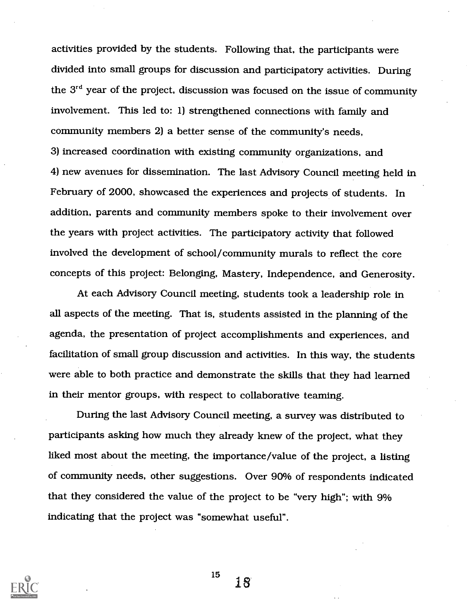activities provided by the students. Following that, the participants were divided into small groups for discussion and participatory activities. During the  $3<sup>rd</sup>$  year of the project, discussion was focused on the issue of community involvement. This led to: 1) strengthened connections with family and community members 2) a better sense of the community's needs, 3) increased coordination with existing community organizations, and 4) new avenues for dissemination. The last Advisory Council meeting held in February of 2000, showcased the experiences and projects of students. In addition, parents and community members spoke to their involvement over the years with project activities. The participatory activity that followed involved the development of school/community murals to reflect the core concepts of this project: Belonging, Mastery, Independence, and Generosity.

At each Advisory Council meeting, students took a leadership role in all aspects of the meeting. That is, students assisted in the planning of the agenda, the presentation of project accomplishments and experiences, and facilitation of small group discussion and activities. In this way, the students were able to both practice and demonstrate the skills that they had learned in their mentor groups, with respect to collaborative teaming.

During the last Advisory Council meeting, a survey was distributed to participants asking how much they already knew of the project, what they liked most about the meeting, the importance/value of the project, a listing of community needs, other suggestions. Over 90% of respondents indicated that they considered the value of the project to be "very high"; with 9% indicating that the project was "somewhat useful".

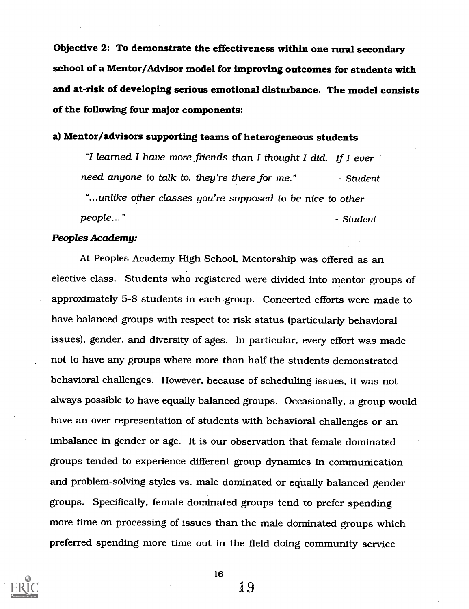Objective 2: To demonstrate the effectiveness within one rural secondary school of a Mentor/Advisor model for improving outcomes for students with and at-risk of developing serious emotional disturbance. The model consists of the following four major components:

#### a) Mentor/advisors supporting teams of heterogeneous students

"I learned I have more friends than I thought I did. If I ever need anyone to talk to, they're there for me." Student "...unlike other classes you're supposed to be nice to other people..." Student Service Student Student Student Student Student Student Student

#### Peoples Academy:

At Peoples Academy High School, Mentorship was offered as an elective class. Students who registered were divided into mentor groups of approximately 5-8 students in each group. Concerted efforts were made to have balanced groups with respect to: risk status (particularly behavioral issues), gender, and diversity of ages. In particular, every effort was made not to have any groups where more than half the students demonstrated behavioral challenges. However, because of scheduling issues, it was not always possible to have equally balanced groups. Occasionally, a group would have an over-representation of students with behavioral challenges or an imbalance in gender or age. It is our observation that female dominated groups tended to experience different group dynamics in communication and problem-solving styles vs. male dominated or equally balanced gender groups. Specifically, female dominated groups tend to prefer spending more time on processing of issues than the male dominated groups which preferred spending more time out in the field doing community service



16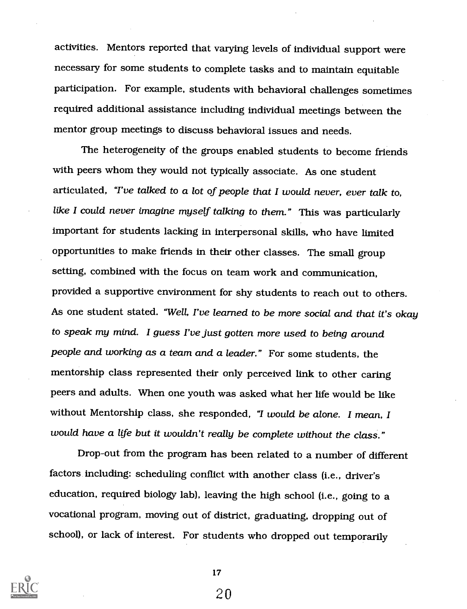activities. Mentors reported that varying levels of individual support were necessary for some students to complete tasks and to maintain equitable participation. For example, students with behavioral challenges sometimes required additional assistance including individual meetings between the mentor group meetings to discuss behavioral issues and needs.

The heterogeneity of the groups enabled students to become friends with peers whom they would not typically associate. As one student articulated, "I've talked to a lot of people that I would never, ever talk to, like I could never imagine myself talking to them." This was particularly important for students lacking in interpersonal skills, who have limited opportunities to make friends in their other classes. The small group setting, combined with the focus on team work and communication, provided a supportive environment for shy students to reach out to others. As one student stated. "Well, I've learned to be more social and that it's okay to speak my mind. I guess I've just gotten more used to being around people and working as a team and a leader." For some students, the mentorship class represented their only perceived link to other caring peers and adults. When one youth was asked what her life would be like without Mentorship class, she responded, "I would be alone. I mean, I would have a life but it wouldn't really be complete without the class."

Drop-out from the program has been related to a number of different factors including: scheduling conflict with another class (i.e., driver's education, required biology lab), leaving the high school (i.e., going to a vocational program, moving out of district, graduating, dropping out of school), or lack of interest. For students who dropped out temporarily



17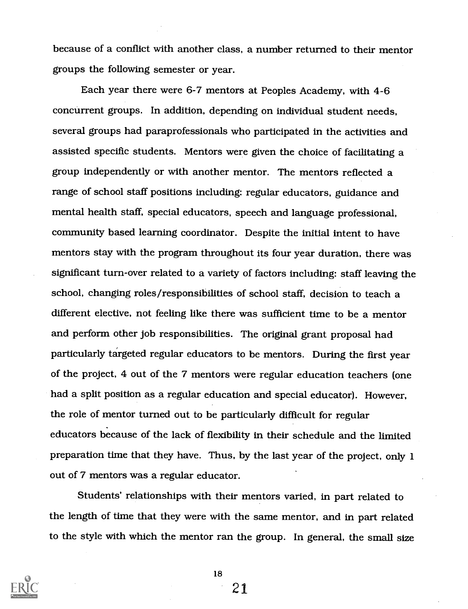because of a conflict with another class, a number returned to their mentor groups the following semester or year.

Each year there were 6-7 mentors at Peoples Academy, with 4-6 concurrent groups. In addition, depending on individual student needs, several groups had paraprofessionals who participated in the activities and assisted specific students. Mentors were given the choice of facilitating a group independently or with another mentor. The mentors reflected a range of school staff positions including: regular educators, guidance and mental health staff, special educators, speech and language professional, community based learning coordinator. Despite the initial intent to have mentors stay with the program throughout its four year duration, there was significant turn-over related to a variety of factors including: staff leaving the school, changing roles/responsibilities of school staff, decision to teach a different elective, not feeling like there was sufficient time to be a mentor and perform other job responsibilities. The original grant proposal had particularly targeted regular educators to be mentors. During the first year of the project, 4 out of the 7 mentors were regular education teachers (one had a split position as a regular education and special educator). However, the role of mentor turned out to be particularly difficult for regular educators because of the lack of flexibility in their schedule and the limited preparation time that they have. Thus, by the last year of the project, only 1 out of 7 mentors was a regular educator.

Students' relationships with their mentors varied, in part related to the length of time that they were with the same mentor, and in part related to the style with which the mentor ran the group. In general, the small size



18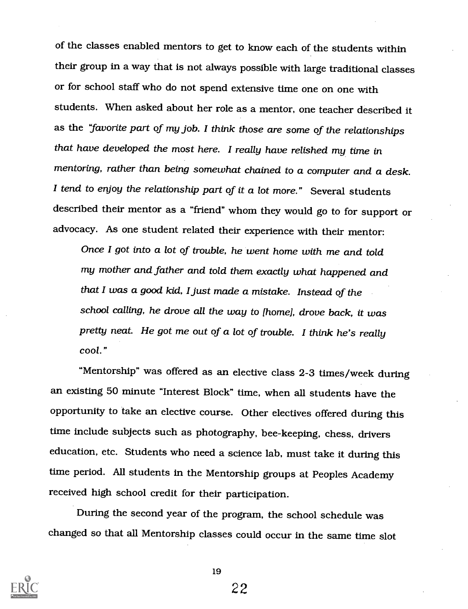of the classes enabled mentors to get to know each of the students within their group in a way that is not always possible with large traditional classes or for school staff who do not spend extensive time one on one with students. When asked about her role as a mentor, one teacher described it as the "favorite part of my job. I think those are some of the relationships that have developed the most here. I really have relished my time in mentoring, rather than being somewhat chained to a computer and a desk. I tend to enjoy the relationship part of it a lot more." Several students described their mentor as a "friend" whom they would go to for support or advocacy. As one student related their experience with their mentor:

Once I got into a lot of trouble, he went home with me and told my mother and father and told them exactly what happened and that I was a good kid, I just made a mistake. Instead of the school calling, he drove all the way to (home], drove back, it was pretty neat. He got me out of a lot of trouble. I think he's really cool."

"Mentorship" was offered as an elective class 2-3 times/week during an existing 50 minute "Interest Block" time, when all students have the opportunity to take an elective course. Other electives offered during this time include subjects such as photography, bee-keeping, chess, drivers education, etc. Students who need a science lab, must take it during this time period. All students in the Mentorship groups at Peoples Academy received high school credit for their participation.

During the second year of the program, the school schedule was changed so that all Mentorship classes could occur in the same time slot



19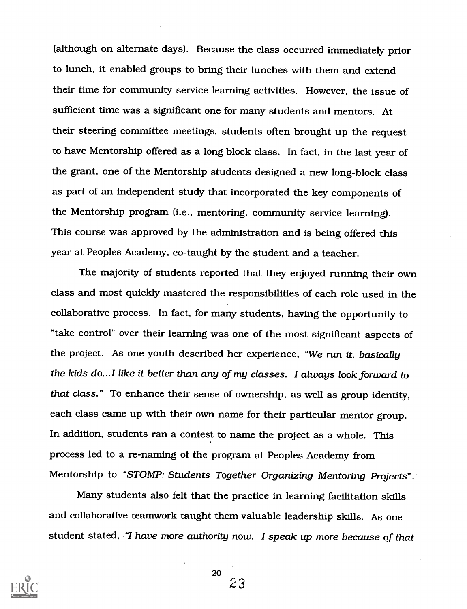(although on alternate days). Because the class occurred immediately prior to lunch, it enabled groups to bring their lunches with them and extend their time for community service learning activities. However, the issue of sufficient time was a significant one for many students and mentors. At their steering committee meetings, students often brought up the request to have Mentorship offered as a long block class. In fact, in the last year of the grant, one of the Mentorship students designed a new long-block class as part of an independent study that incorporated the key components of the Mentorship program (i.e., mentoring, community service learning). This course was approved by the administration and is being offered this year at Peoples Academy, co-taught by the student and a teacher.

The majority of students reported that they enjoyed running their own class and most quickly mastered the responsibilities of each role used in the collaborative process. In fact, for many students, having the opportunity to "take control" over their learning was one of the most significant aspects of the project. As one youth described her experience, "We run it, basically the kids do...I like it better than any of my classes. I always look forward to that class." To enhance their sense of ownership, as well as group identity, each class came up with their own name for their particular mentor group. In addition, students ran a contest to name the project as a whole. This process led to a re-naming of the program at Peoples Academy from Mentorship to "STOMP: Students Together Organizing Mentoring Projects".

Many students also felt that the practice in learning facilitation skills and collaborative teamwork taught them valuable leadership skills. As one student stated, "I have more authority now. I speak up more because of that



20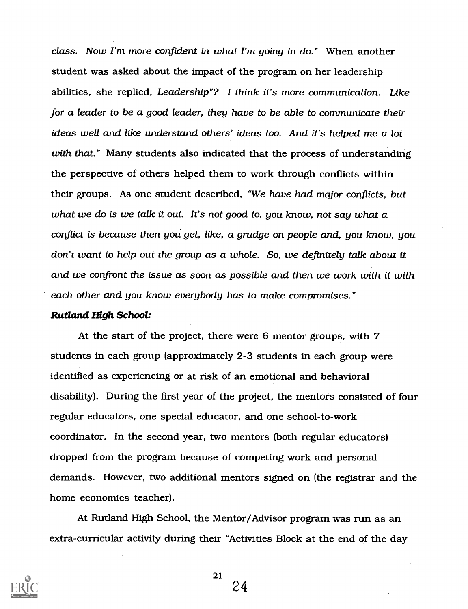class. Now I'm more confident in what I'm going to do." When another student was asked about the impact of the program on her leadership abilities, she replied, Leadership"? I think it's more communication. Like for a leader to be a good leader, they have to be able to communicate their ideas well and like understand others' ideas too. And it's helped me a lot with that." Many students also indicated that the process of understanding the perspective of others helped them to work through conflicts within their groups. As one student described, "We have had major conflicts, but what we do is we talk it out. It's not good to, you know, not say what a conflict is because then you get, like, a grudge on people and, you know, you don't want to help out the group as a whole. So, we definitely talk about it and we confront the issue as soon as possible and then we work with it with each other and you know everybody has to make compromises."

#### Rutland High School:

At the start of the project, there were 6 mentor groups, with 7 students in each group (approximately 2-3 students in each group were identified as experiencing or at risk of an emotional and behavioral disability). During the first year of the project, the mentors consisted of four regular educators, one special educator, and one school-to-work coordinator. In the second year, two mentors (both regular educators) dropped from the program because of competing work and personal demands. However, two additional mentors signed on (the registrar and the home economics teacher).

At Rutland High School, the Mentor/Advisor program was run as an extra-curricular activity during their "Activities Block at the end of the day

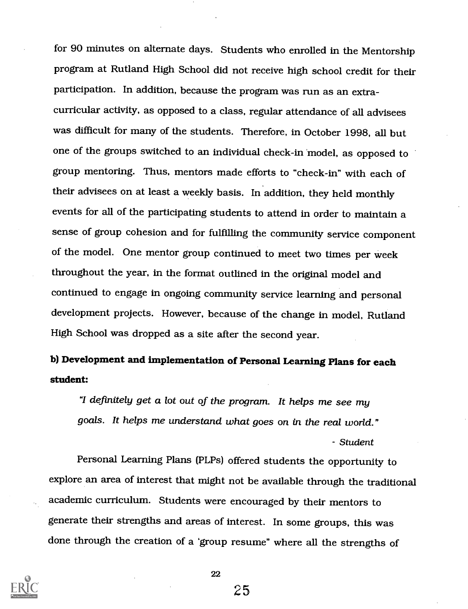for 90 minutes on alternate days. Students who enrolled in the Mentorship program at Rutland High School did not receive high school credit for their participation. In addition, because the program was run as an extracurricular activity, as opposed to a class, regular attendance of all advisees was difficult for many of the students. Therefore, in October 1998, all but one of the groups switched to an individual check-in 'model, as opposed to group mentoring. Thus, mentors made efforts to "check-in" with each of their advisees on at least a weekly basis. In addition, they held monthly events for all of the participating students to attend in order to maintain a sense of group cohesion and for fulfilling the community service component of the model. One mentor group continued to meet two times per week throughout the year, in the format outlined in the original model and continued to engage in ongoing community service learning and personal development projects. However, because of the change in model, Rutland High School was dropped as a site after the second year.

## b) Development and implementation of Personal Learning Plans for each student:

"I definitely get a lot out of the program. It helps me see my goals. It helps me understand what goes on in the real world."

Student

Personal Learning Plans (PLPs) offered students the opportunity to explore an area of interest that might not be available through the traditional academic curriculum. Students were encouraged by their mentors to generate their strengths and areas of interest. In some groups, this was done through the creation of a 'group resume" where all the strengths of



22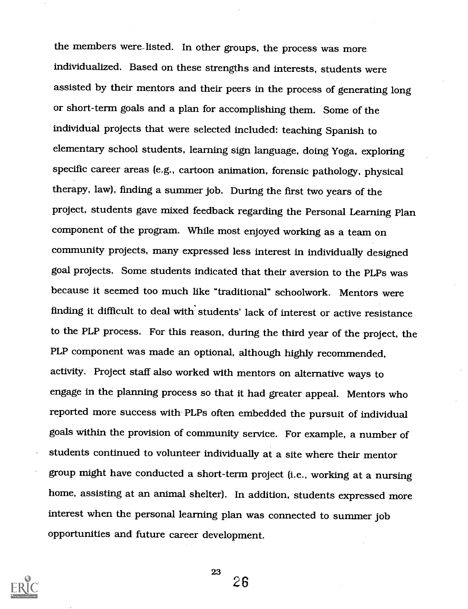the members were-listed. In other groups, the process was more individualized. Based on these strengths and interests, students were assisted by their mentors and their peers in the process of generating long or short-term goals and a plan for accomplishing them. Some of the individual projects that were selected included: teaching Spanish to elementary school students, learning sign language, doing Yoga, exploring specific career areas (e.g., cartoon animation, forensic pathology, physical therapy, law), finding a summer job. During the first two years of the project, students gave mixed feedback regarding the Personal Learning Plan component of the program. While most enjoyed working as a team on community projects, many expressed less interest in individually designed goal projects. Some students indicated that their aversion to the PLPs was because it seemed too much like "traditional" schoolwork. Mentors were finding it difficult to deal with' students' lack of interest or active resistance to the PLP process. For this reason, during the third year of the project, the PLP component was made an optional, although highly recommended, activity. Project staff also worked with mentors on alternative ways to engage in the planning process so that it had greater appeal. Mentors who reported more success with PLPs often embedded the pursuit of individual goals within the provision of community service. For example, a number of students continued to volunteer individually at a site where their mentor group might have conducted a short-term project (i.e., working at a nursing home, assisting at an animal shelter). In addition, students expressed more interest when the personal learning plan was connected to summer job opportunities and future career development.

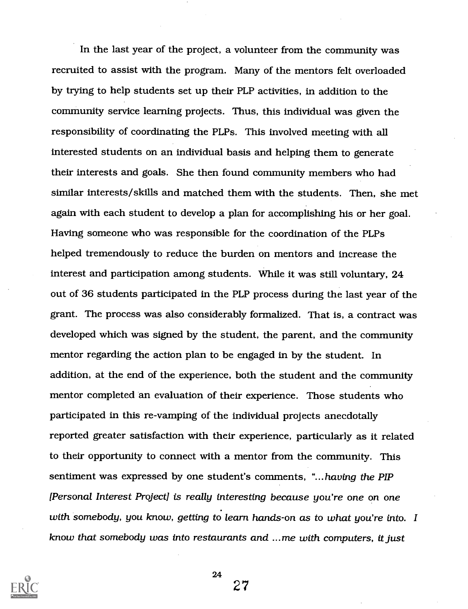In the last year of the project, a volunteer from the community was recruited to assist with the program. Many of the mentors felt overloaded by trying to help students set up their PLP activities, in addition to the community service learning projects. Thus, this individual was given the responsibility of coordinating the PLPs. This involved meeting with all interested students on an individual basis and helping them to generate their interests and goals. She then found community members who had similar interests/skills and matched them with the students. Then, she met again with each student to develop a plan for accomplishing his or her goal. Having someone who was responsible for the coordination of the PLPs helped tremendously to reduce the burden on mentors and increase the interest and participation among students. While it was still voluntary, 24 out of 36 students participated in the PLP process during the last year of the grant. The process was also considerably formalized. That is, a contract was developed which was signed by the student, the parent, and the community mentor regarding the action plan to be engaged in by the student. In addition, at the end of the experience, both the student and the community mentor completed an evaluation of their experience. Those students who participated in this re-vamping of the individual projects anecdotally reported greater satisfaction with their experience, particularly as it related to their opportunity to connect with a mentor from the community. This sentiment was expressed by one student's comments, "...having the PIP [Personal Interest Project] is really interesting because you're one on one with somebody, you know, getting to learn hands-on as to what you're into. I know that somebody was into restaurants and ...me with computers, it just



24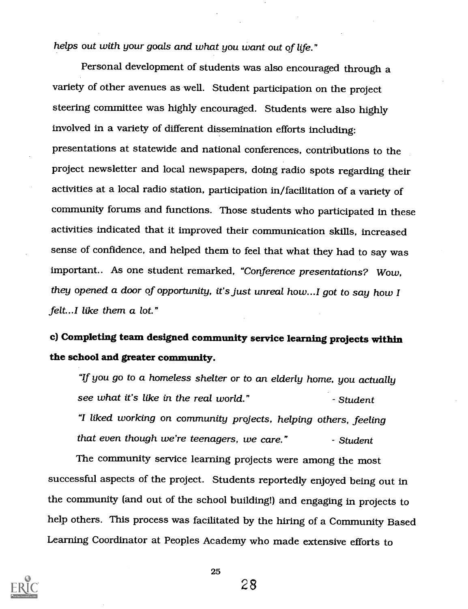helps out with your goals and what you want out of life."

Personal development of students was also encouraged through a variety of other avenues as well. Student participation on the project steering committee was highly encouraged. Students were also highly involved in a variety of different dissemination efforts including: presentations at statewide and national conferences, contributions to the project newsletter and local newspapers, doing radio spots regarding their activities at a local radio station, participation in/facilitation of a variety of community forums and functions. Those students who participated in these activities indicated that it improved their communication skills, increased sense of confidence, and helped them to feel that what they had to say was important.. As one student remarked, "Conference presentations? Wow, they opened a door of opportunity, it's just unreal how...I got to say how I felt...I like them a lot."

c) Complethig team designed community service learning projects withhi the school and greater community.

"If you go to a homeless shelter or to an elderly home, you actually see what it's like in the real world." Student "I liked working on community projects, helping others, feeling that even though we're teenagers, we care." Student

The community service learning projects were among the most successful aspects of the project. Students reportedly enjoyed being out in the community (and out of the school building!) and engaging in projects to help others. This process was facilitated by the hiring of a Community Based Learning Coordinator at Peoples Academy who made extensive efforts to

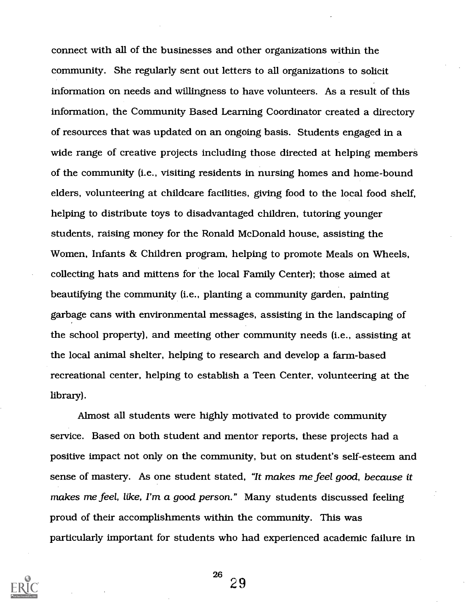connect with all of the businesses and other organizations within the community. She regularly sent out letters to all organizations to solicit information on needs and willingness to have volunteers. As a result of this information, the Community Based Learning Coordinator created a directory of resources that was updated on an ongoing basis. Students engaged in a wide range of creative projects including those directed at helping members of the community (i.e., visiting residents in nursing homes and home-bound elders, volunteering at childcare facilities, giving food to the local food shelf, helping to distribute toys to disadvantaged children, tutoring younger students, raising money for the Ronald McDonald house, assisting the Women, Infants & Children program, helping to promote Meals on Wheels, collecting hats and mittens for the local Family Center); those aimed at beautifying the community (i.e., planting a community garden, painting garbage cans with environmental messages, assisting in the landscaping of the school property), and meeting other community needs (i.e., assisting at the local animal shelter, helping to research and develop a farm-based recreational center, helping to establish a Teen Center, volunteering at the library).

Almost all students were highly motivated to provide community service. Based on both student and mentor reports, these projects had a positive impact not only on the community, but on student's self-esteem and sense of mastery. As one student stated, "It makes me feel good, because it makes me feel, like, I'm a good person." Many students discussed feeling proud of their accomplishments within the community. This was particularly important for students who had experienced academic failure in

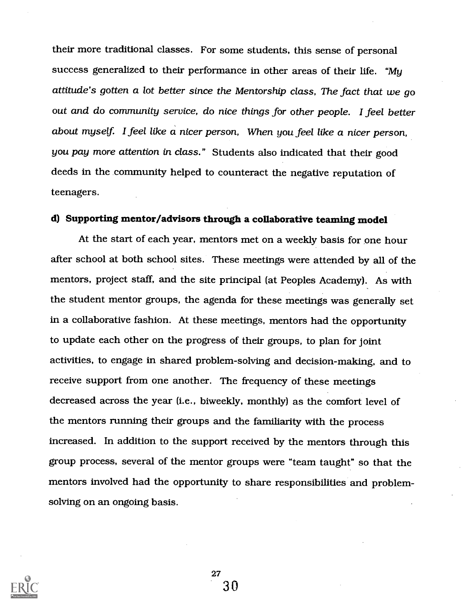their more traditional classes. For some students, this sense of personal success generalized to their performance in other areas of their life. "My attitude's gotten a lot better since the Mentorship class, The fact that we go out and do community service, do nice things for other people. I feel better about myself. I feel like  $\alpha$  nicer person, When you feel like  $\alpha$  nicer person, you pay more attention in class." Students also indicated that their good deeds in the community helped to counteract the negative reputation of teenagers.

### d) Supporting mentor/advisors through a collaborative teaming model

At the start of each year, mentors met on a weekly basis for one hour after school at both school sites. These meetings were attended by all of the mentors, project staff, and the site principal (at Peoples Academy). As with the student mentor groups, the agenda for these meetings was generally set in a collaborative fashion. At these meetings, mentors had the opportunity to update each other on the progress of their groups, to plan for joint activities, to engage in shared problem-solving and decision-making, and to receive support from one another. The frequency of these meetings decreased across the year (i.e., biweekly, monthly) as the comfort level of the mentors running their groups and the familiarity with the process increased. In addition to the support received by the mentors through this group process, several of the mentor groups were "team taught" so that the mentors involved had the opportunity to share responsibilities and problemsolving on an ongoing basis.

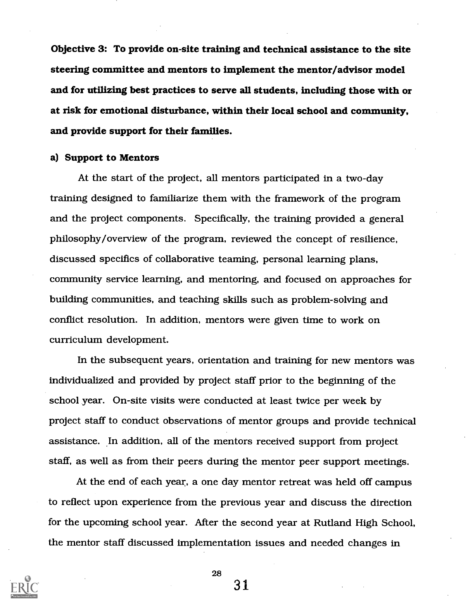Objective 3: To provide on-site training and technical assistance to the site steering committee and mentors to implement the mentor/advisor model and for utilizing best practices to serve all students, including those with or at risk for emotional disturbance, within their local school and community, and provide support for their families.

#### a) Support to Mentors

At the start of the project, all mentors participated in a two-day training designed to familiarize them with the framework of the program and the project components. Specifically, the training provided a general philosophy/overview of the program, reviewed the concept of resilience, discussed specifics of collaborative teaming, personal learning plans, community service learning, and mentoring, and focused on approaches for building communities, and teaching skills such as problem-solving and conflict resolution. In addition, mentors were given time to work on curriculum development.

In the subsequent years, orientation and training for new mentors was individualized and provided by project staff prior to the beginning of the school year. On-site visits were conducted at least twice per week by project staff to conduct observations of mentor groups and provide technical assistance. In addition, all of the mentors received support from project staff, as well as from their peers during the mentor peer support meetings.

At the end of each year, a one day mentor retreat was held off campus to reflect upon experience from the previous year and discuss the direction for the upcoming school year. After the second year at Rutland High School, the mentor staff discussed implementation issues and needed changes in



28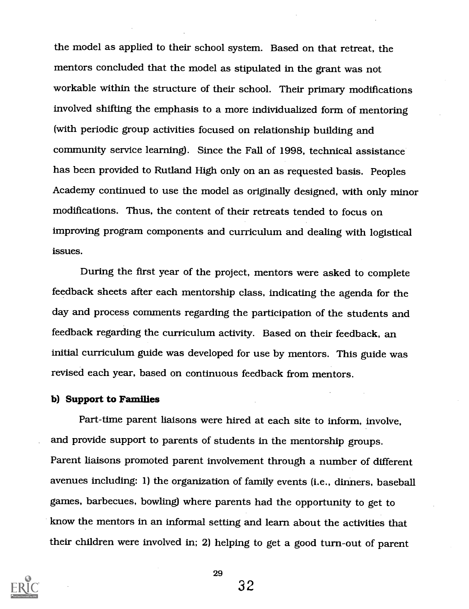the model as applied to their school system. Based on that retreat, the mentors concluded that the model as stipulated in the grant was not workable within the structure of their school. Their primary modifications involved shifting the emphasis to a more individualized form of mentoring (with periodic group activities focused on relationship building and community service learning). Since the Fall of 1998, technical assistance has been provided to Rutland High only on an as requested basis. Peoples Academy continued to use the model as originally designed, with only minor modifications. Thus, the content of their retreats tended to focus on improving program components and curriculum and dealing with logistical issues.

During the first year of the project, mentors were asked to complete feedback sheets after each mentorship class, indicating the agenda for the day and process comments regarding the participation of the students and feedback regarding the curriculum activity. Based on their feedback, an initial curriculum guide was developed for use by mentors. This guide was revised each year, based on continuous feedback from mentors.

#### b) Support to Families

Part-time parent liaisons were hired at each site to inform, involve, and provide support to parents of students in the mentorship groups. Parent liaisons promoted parent involvement through a number of different avenues including: 1) the organization of family events (i.e., dinners, baseball games, barbecues, bowling) where parents had the opportunity to get to know the mentors in an informal setting and learn about the activities that their children were involved in; 2) helping to get a good turn-out of parent



29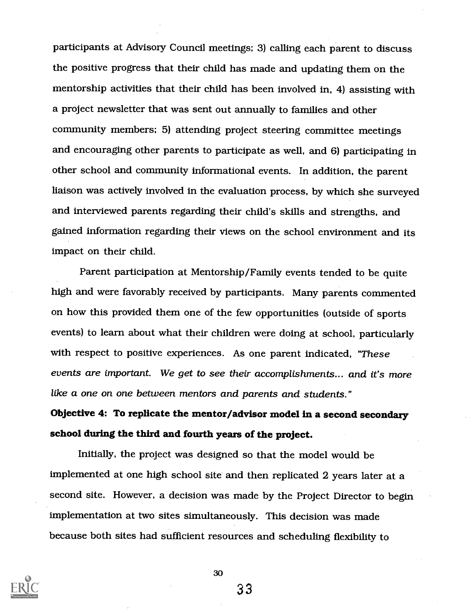participants at Advisory Council meetings; 3) calling each parent to discuss the positive progress that their child has made and updating them on the mentorship activities that their child has been involved in, 4) assisting with a project newsletter that was sent out annually to families and other community members; 5) attending project steering committee meetings and encouraging other parents to participate as well, and 6) participating in other school and community informational events. In addition, the parent liaison was actively involved in the evaluation process, by which she surveyed and interviewed parents regarding their child's skills and strengths, and gained information regarding their views on the school environment and its impact on their child.

Parent participation at Mentorship/Family events tended to be quite high and were favorably received by participants. Many parents commented on how this provided them one of the few opportunities (outside of sports events) to learn about what their children were doing at school, particularly with respect to positive experiences. As one parent indicated, "These events are important. We get to see their accomplishments.., and it's more like a one on one between mentors and parents and students."

Objective 4: To replicate the mentor/advisor model in a second secondary school during the third and fourth years of the project.

Initially, the project was designed so that the model would be implemented at one high school site and then replicated 2 years later at a second site. However, a decision was made by the Project Director to begin implementation at two sites simultaneously. This decision was made because both sites had sufficient resources and scheduling flexibility to



30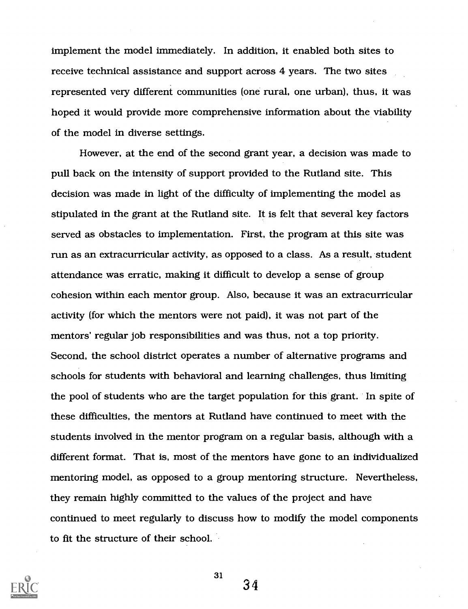implement the model immediately. In addition, it enabled both sites to receive technical assistance and support across 4 years. The two sites represented very different communities (one rural, one urban), thus, it was hoped it would provide more comprehensive information about the viability of the model in diverse settings.

However, at the end of the second grant year, a decision was made to pull back on the intensity of support provided to the Rutland site. This decision was made in light of the difficulty of implementing the model as stipulated in the grant at the Rutland site. It is felt that several key factors served as obstacles to implementation. First, the program at this site was run as an extracurricular activity, as opposed to a class. As a result, student attendance was erratic, making it difficult to develop a sense of group cohesion within each mentor group. Also, because it was an extracurricular activity (for which the mentors were not paid), it was not part of the mentors' regular job responsibilities and was thus, not a top priority. Second, the school district operates a number of alternative programs and schools for students with behavioral and learning challenges, thus limiting the pool of students who are the target population for this grant. In spite of these difficulties, the mentors at Rutland have continued to meet with the students involved in the mentor program on a regular basis, although with a different format. That is, most of the mentors have gone to an individualized mentoring model, as opposed to a group mentoring structure. Nevertheless, they remain highly committed to the values of the project and have continued to meet regularly to discuss how to modify the model components to fit the structure of their school.



31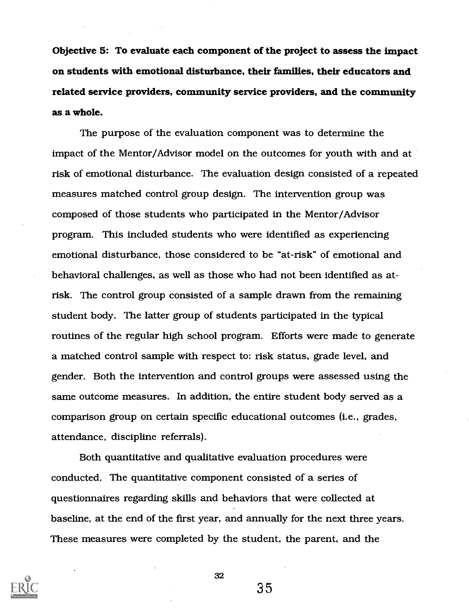Objective 5: To evaluate each component of the project to assess the impact on students with emotional disturbance, their families, their educators and related service providers, community service providers, and the community as a whole.

The purpose of the evaluation component was to determine the impact of the Mentor/Advisor model on the outcomes for youth with and at risk of emotional disturbance. The evaluation design consisted of a repeated measures matched control group design. The intervention group was composed of those students who participated in the Mentor/Advisor program. This included students who were identified as experiencing emotional disturbance, those considered to be "at-risk" of emotional and behavioral challenges, as well as those who had not been identified as atrisk. The control group consisted of a sample drawn from the remaining student body. The latter group of students participated in the typical routines of the regular high school program. Efforts were made to generate a matched control sample with respect to: risk status, grade level, and gender. Both the intervention and control groups were assessed using the same outcome measures. In addition, the entire student body served as a comparison group on certain specific educational outcomes (i.e., grades, attendance, discipline referrals).

Both quantitative and qualitative evaluation procedures were conducted. The quantitative component consisted of a series of questionnaires regarding skills and behaviors that were collected at baseline, at the end of the first year, and annually for the next three years. These measures were completed by the student, the parent, and the



32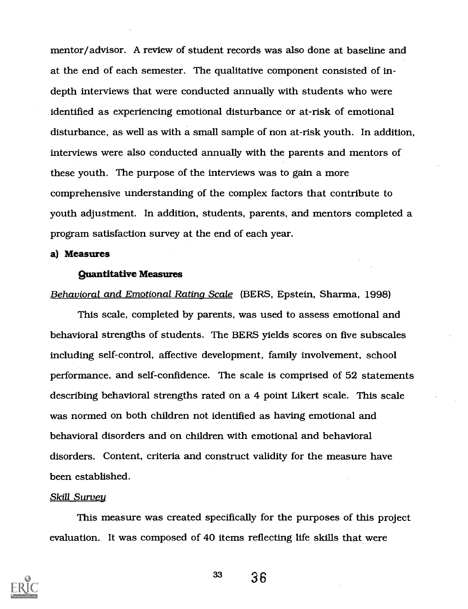mentor/advisor. A review of student records was also done at baseline and at the end of each semester. The qualitative component consisted of indepth interviews that were conducted annually with students who were identified as experiencing emotional disturbance or at-risk of emotional disturbance, as well as with a small sample of non at-risk youth. In addition, interviews were also conducted annually with the parents and mentors of these youth. The purpose of the interviews was to gain a more comprehensive understanding of the complex factors that contribute to youth adjustment. In addition, students, parents, and mentors completed a program satisfaction survey at the end of each year.

#### a) Measures

#### Quantitative Measures

#### Behavioral and Emotional Rating Scale (BERS, Epstein, Sharma, 1998)

This scale, completed by parents, was used to assess emotional and behavioral strengths of students. The BERS yields scores on five subscales including self-control, affective development, family involvement, school performance, and self-confidence. The scale is comprised of 52 statements describing behavioral strengths rated on a 4 point Likert scale. This scale was norrned on both children not identified as having emotional and behavioral disorders and on children with emotional and behavioral disorders. Content, criteria and construct validity for the measure have been established.

#### Skill Survey

This measure was created specifically for the purposes of this project evaluation. It was composed of 40 items reflecting life skills that were

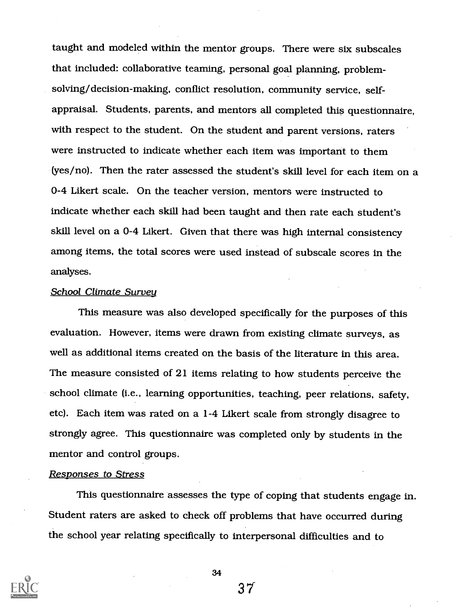taught and modeled within the mentor groups. There were six subscales that included: collaborative teaming, personal goal planning, problemsolving/decision-making, conflict resolution, community service, selfappraisal. Students, parents, and mentors all completed this questionnaire, with respect to the student. On the student and parent versions, raters were instructed to indicate whether each item was important to them (yes/no). Then the rater assessed the student's skill level for each item on a 0-4 Likert scale. On the teacher version, mentors were instructed to indicate whether each skill had been taught and then rate each student's skill level on a 0-4 Likert. Given that there was high internal consistency among items, the total scores were used instead of subscale scores in the analyses.

#### School Climate Survey

This measure was also developed specifically for the purposes of this evaluation. However, items were drawn from existing climate surveys, as well as additional items created on the basis of the literature in this area. The measure consisted of 21 items relating to how students perceive the school climate (i.e., learning opportunities, teaching, peer relations, safety, etc). Each item was rated on a 1-4 Likert scale from strongly disagree to strongly agree. This questionnaire was completed only by students in the mentor and control groups.

#### Responses to Stress

This questionnaire assesses the type of coping that students engage in. Student raters are asked to check off problems that have occurred during the school year relating specifically to interpersonal difficulties and to



34

31.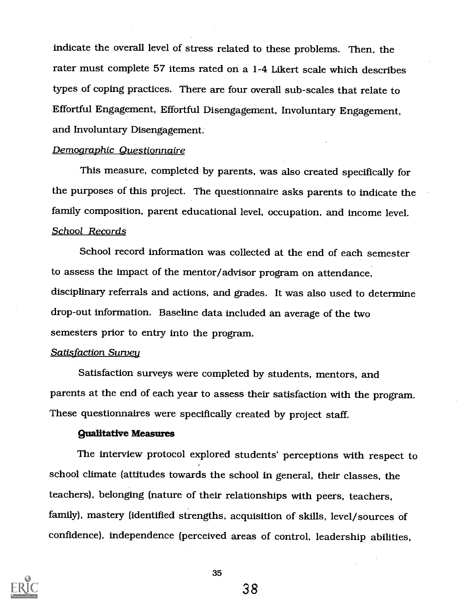indicate the overall level of stress related to these problems. Then, the rater must complete 57 items rated on a 1-4 Likert scale which describes types of coping practices. There are four overall sub-scales that relate to Effortful Engagement, Effortful Disengagement, Involuntary Engagement, and Involuntary Disengagement.

#### Demographic Questionnaire

This measure, completed by parents, was also created specifically for the purposes of this project. The questionnaire asks parents to indicate the family composition, parent educational level, occupation, and income level. School Records

School record information was collected at the end of each semester to assess the impact of the mentor/advisor program on attendance, disciplinary referrals and actions, and grades. It was also used to determine drop-out information. Baseline data included an average of the two semesters prior to entry into the program.

#### Satisfaction Survey

Satisfaction surveys were completed by students, mentors, and parents at the end of each year to assess their satisfaction with the program. These questionnaires were specifically created by project staff.

#### Qualitative Measures

The interview protocol explored students' perceptions with respect to school climate (attitudes towards the school in general, their classes, the teachers), belonging (nature of their relationships with peers, teachers, family), mastery (identified strengths, acquisition of skills, level/sources of confidence), independence (perceived areas of control, leadership abilities,

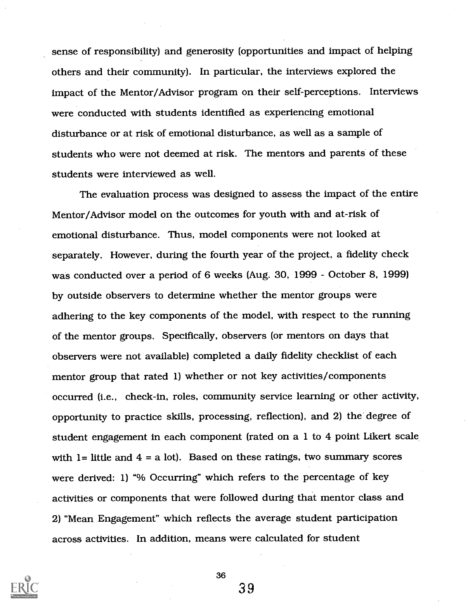sense of responsibility) and generosity (opportunities and impact of helping others and their community). In particular, the interviews explored the impact of the Mentor/Advisor program on their self-perceptions. Interviews were conducted with students identified as experiencing emotional disturbance or at risk of emotional disturbance, as well as a sample of students who were not deemed at risk. The mentors and parents of these students were interviewed as well.

The evaluation process was designed to assess the impact of the entire Mentor/Advisor model on the outcomes for youth with and at-risk of emotional disturbance. Thus, model components were not looked at separately. However, during the fourth year of the project, a fidelity check was conducted over a period of 6 weeks (Aug. 30, 1999 - October 8, 1999) by outside observers to determine whether the mentor groups were adhering to the key components of the model, with respect to the running of the mentor groups. Specifically, observers (or mentors on days that observers were not available) completed a daily fidelity checklist of each mentor group that rated 1) whether or not key activities/components occurred (i.e., check-in, roles, community service learning or other activity, opportunity to practice skills, processing, reflection), and 2) the degree of student engagement in each component (rated on a 1 to 4 point Likert scale with  $l =$  little and  $4 = a$  lot). Based on these ratings, two summary scores were derived: 1) "% Occurring" which refers to the percentage of key activities or components that were followed during that mentor class and 2) "Mean Engagement" which reflects the average student participation across activities. In addition, means were calculated for student



36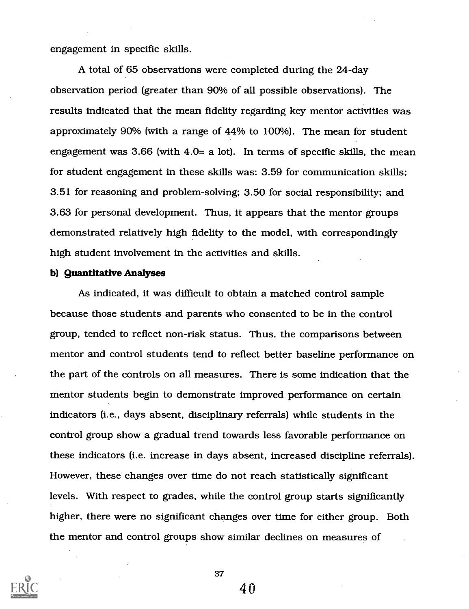engagement in specific skills.

A total of 65 observations were completed during the 24-day observation period (greater than 90% of all possible observations). The results indicated that the mean fidelity regarding key mentor activities was approximately 90% (with a range of 44% to 100%). The mean for student engagement was  $3.66$  (with  $4.0=$  a lot). In terms of specific skills, the mean for student engagement in these skills was: 3.59 for communication skills; 3.51 for reasoning and problem-solving; 3.50 for social responsibility; and 3.63 for personal development. Thus, it appears that the mentor groups demonstrated relatively high fidelity to the model, with correspondingly high student involvement in the activities and skills.

#### b) Quantitative Analyses

As indicated, it was difficult to obtain a matched control sample because those students and parents who consented to be in the control group, tended to reflect non-risk status. Thus, the comparisons between mentor and control students tend to reflect better baseline performance on the part of the controls on all measures. There is some indication that the mentor students begin to demonstrate improved performance on certain indicators (i.e., days absent, disciplinary referrals) while students in the control group show a gradual trend towards less favorable performance on these indicators (i.e. increase in days absent, increased discipline referrals). However, these changes over time do not reach statistically significant levels. With respect to grades, while the control group starts significantly higher, there were no significant changes over time for either group. Both the mentor and control groups show similar declines on measures of



37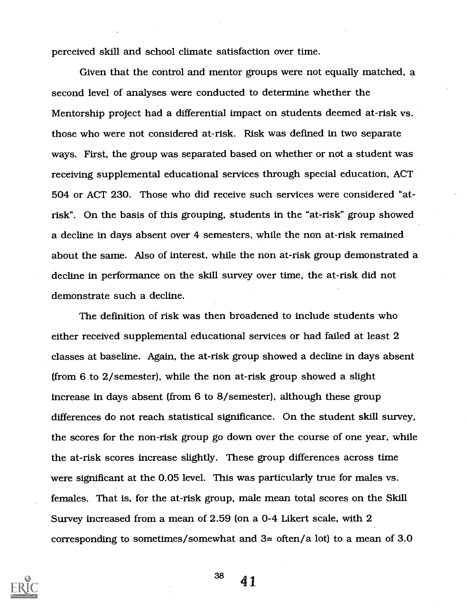perceived skill and school climate satisfaction over time.

Given that the control and mentor groups were not equally matched, a second level of analyses were conducted to determine whether the Mentorship project had a differential impact on students deemed at-risk vs. those who were not considered at-risk. Risk was defined in two separate ways. First, the group was separated based on whether or not a student was receiving supplemental educational services through special education, ACT 504 or ACT 230. Those who did receive such services were considered "atrisk". On the basis of this grouping, students in the "at-risk" group showed a decline in days absent over 4 semesters, while the non at-risk remained about the same. Also of interest, while the non at-risk group demonstrated a decline in performance on the skill survey over time, the at-risk did not demonstrate such a decline.

The definition of risk was then broadened to include students who either received supplemental educational services or had failed at least 2 classes at baseline. Again, the at-risk group showed a decline in days absent (from 6 to 2/semester), while the non at-risk group showed a slight increase in days absent (from 6 to 8/semester), although these group differences do not reach statistical significance. On the student skill survey, the scores for the non-risk group go down over the course of one year, while the at-risk scores increase slightly. These group differences across time were significant at the 0.05 level. This was particularly true for males vs. females. That is, for the at-risk group, male mean total scores on the Skill Survey increased from a mean of 2.59 (on a 0-4 Likert scale, with 2 corresponding to sometimes/somewhat and 3= often/a lot) to a mean of 3.0

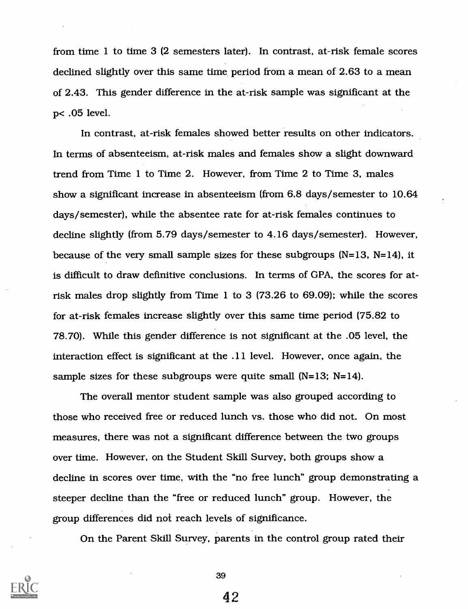from time 1 to time 3 (2 semesters later). In contrast, at-risk female scores declined slightly over this same time period from a mean of 2.63 to a mean of 2.43. This gender difference in the at-risk sample was significant at the p< .05 level.

In contrast, at-risk females showed better results on other indicators. In terms of absenteeism, at-risk males and females show a slight downward trend from Time 1 to Time 2. However, from Time 2 to Time 3, males show a significant increase in absenteeism (from 6.8 days/semester to 10.64 days/semester), while the absentee rate for at-risk females continues to decline slightly (from 5.79 days/semester to 4.16 days/semester). However, because of the very small sample sizes for these subgroups (N=13, N=14), it is difficult to draw definitive conclusions. In terms of GPA, the scores for atrisk males drop slightly from Time 1 to 3 (73.26 to 69.09); while the scores for at-risk females increase slightly over this same time period (75.82 to 78.70). While this gender difference is not significant at the .05 level, the interaction effect is significant at the .11 level. However, once again, the sample sizes for these subgroups were quite small (N=13; N=14).

The overall mentor student sample was also grouped according to those who received free or reduced lunch vs. those who did not. On most measures, there was not a significant difference between the two groups over time. However, on the Student Skill Survey, both groups show a decline in scores over time, with the "no free lunch" group demonstrating a steeper decline than the "free or reduced lunch" group. However, the group differences did not reach levels of significance.

On the Parent Skill Survey, parents in the control group rated their



39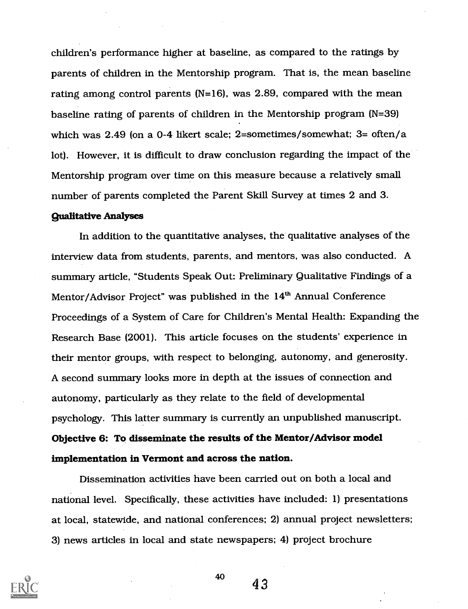children's performance higher at baseline, as compared to the ratings by parents of children in the Mentorship program. That is, the mean baseline rating among control parents ( $N=16$ ), was 2.89, compared with the mean baseline rating of parents of children in the Mentorship program (N=39) which was 2.49 (on a 0-4 likert scale; 2=sometimes/somewhat; 3= often/a lot). However, it is difficult to draw conclusion regarding the impact of the Mentorship program over time on this measure because a relatively small number of parents completed the Parent Skill Survey at times 2 and 3.

#### Qualitative Analyses

In addition to the quantitative analyses, the qualitative analyses of the interview data from students, parents, and mentors, was also conducted. A summary article, "Students Speak Out: Preliminary Qualitative Findings of a Mentor/Advisor Project" was published in the 14<sup>th</sup> Annual Conference Proceedings of a System of Care for Children's Mental Health: Expanding the Research Base (2001). This article focuses on the students' experience in their mentor groups, with respect to belonging, autonomy, and generosity. A second summary looks more in depth at the issues of connection and autonomy, particularly as they relate to the field of developmental psychology. This latter summary is currently an unpublished manuscript. Objective 6: To disseminate the results of the Mentor/Advisor model implementation in Vermont and across the nation.

Dissemination activities have been carried out on both a local and national level. Specifically, these activities have included: 1) presentations at local, statewide, and national conferences; 2) annual project newsletters; 3) news articles in local and state newspapers; 4) project brochure



40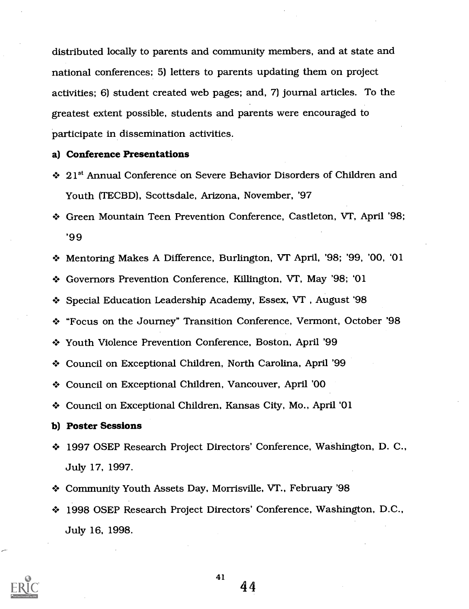distributed locally to parents and community members, and at state and national conferences; 5) letters to parents updating them on project activities; 6) student created web pages; and, 7) journal articles. To the greatest extent possible, students and parents were encouraged to participate in dissemination activities.

#### a) Conference Presentations

- $\div$  21<sup>st</sup> Annual Conference on Severe Behavior Disorders of Children and Youth (TECBD), Scottsdale, Arizona, November, '97
- + Green Mountain Teen Prevention Conference, Castleton, VT, April '98; '99
- Mentoring Makes A Difference, Burlington, VT April, '98; '99, '00, '01
- + Governors Prevention Conference, Killington, VT, May '98; '01
- Special Education Leadership Academy, Essex, VT , August '98
- + "Focus on the Journey" Transition Conference, Vermont, October '98
- Youth Violence Prevention Conference, Boston, April '99
- Council on Exceptional Children, North Carolina, April '99
- + Council on Exceptional Children, Vancouver, April '00
- Council on Exceptional Children, Kansas City, Mo., April '01
- b) Poster Sessions
- 1997 OSEP Research Project Directors' Conference, Washington, D. C., July 17, 1997.
- Community Youth Assets Day, Morrisville, VT., February '98
- 1998 OSEP Research Project Directors' Conference, Washington, D.C., July 16, 1998.



41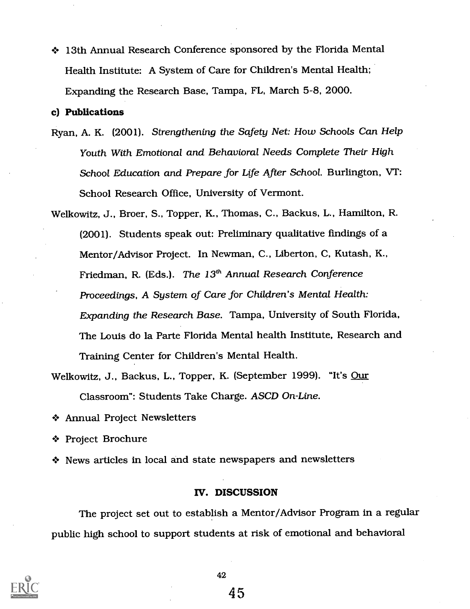13th Annual Research Conference sponsored by the Florida Mental Health Institute: A System of Care for Children's Mental Health; Expanding the Research Base, Tampa, FL, March 5-8, 2000.

#### c) Publications

- Ryan, A. K. (2001). Strengthening the Safety Net: How Schools Can Help Youth With Emotional and Behavioral Needs Complete Their High School Education and Prepare for Life After School. Burlington, VT: School Research Office, University of Vermont.
- Welkowitz, J., Broer, S., Topper, K., Thomas, C., Backus, L., Hamilton, R. (2001). Students speak out: Preliminary qualitative findings of a Mentor/Advisor Project. In Newman, C., Liberton, C, Kutash, K., Friedman, R. (Eds.). The  $13<sup>th</sup>$  Annual Research Conference Proceedings, A System of Care for Children's Mental Health: Expanding the Research Base. Tampa, University of South Florida, The Louis do la Parte Florida Mental health Institute, Research and Training Center for Children's Mental Health.
- Welkowitz, J., Backus, L., Topper, K. (September 1999). "It's Our Classroom": Students Take Charge. ASCD On-Line.
- Annual Project Newsletters
- + Project Brochure
- News articles in local and state newspapers and newsletters

#### IV. DISCUSSION

The project set out to establish a Mentor/Advisor Program in a regular public high school to support students at risk of emotional and behavioral



42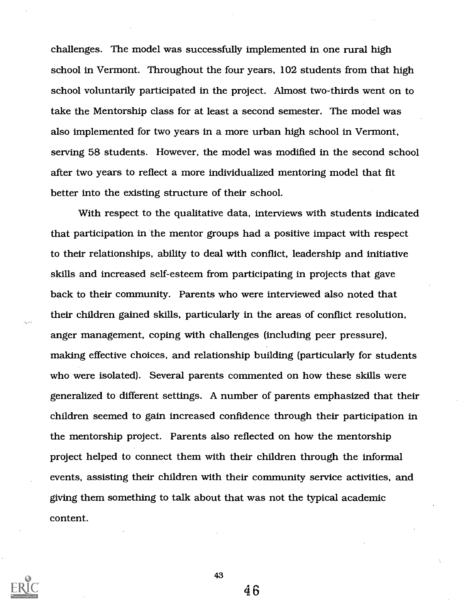challenges. The model was successfully implemented in one rural high school in Vermont. Throughout the four years, 102 students from that high school voluntarily participated in the project. Almost two-thirds went on to take the Mentorship class for at least a second semester. The model was also implemented for two years in a more urban high school in Vermont, serving 58 students. However, the model was modified in the second school after two years to reflect a more individualized mentoring model that fit better into the existing structure of their school.

With respect to the qualitative data, interviews with students indicated that participation in the mentor groups had a positive impact with respect to their relationships, ability to deal with conflict, leadership and initiative skills and increased self-esteem from participating in projects that gave back to their community. Parents who were interviewed also noted that their children gained skills, particularly in the areas of conflict resolution, anger management, coping with challenges (including peer pressure), making effective choices, and relationship building (particularly for students who were isolated). Several parents commented on how these skills were generalized to different settings. A number of parents emphasized that their children seemed to gain increased confidence through their participation in the mentorship project. Parents also reflected on how the mentorship project helped to connect them with their children through the informal events, assisting their children with their community service activities, and giving them something to talk about that was not the typical academic content.



43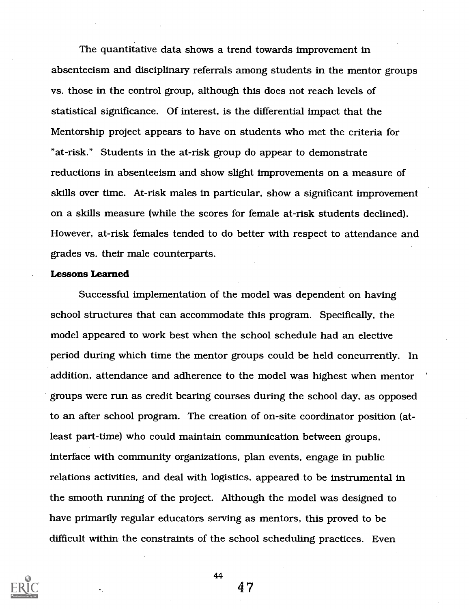The quantitative data shows a trend towards improvement in absenteeism and disciplinary referrals among students in the mentor groups vs. those in the control group, although this does not reach levels of statistical significance. Of interest, is the differential impact that the Mentorship project appears to have on students who met the criteria for "at-risk." Students in the at-risk group do appear to demonstrate reductions in absenteeism and show slight improvements on a measure of skills over time. At-risk males in particular, show a significant improvement on a skills measure (while the scores for female at-risk students declined). However, at-risk females tended to do better with respect to attendance and grades vs. their male counterparts.

#### Lessons Learned

Successful implementation of the model was dependent on having school structures that can accommodate this program. Specifically, the model appeared to work best when the school schedule had an elective period during which time the mentor groups could be held concurrently. In addition, attendance and adherence to the model was highest when mentor groups were run as credit bearing courses during the school day, as opposed to an after school program. The creation of on-site coordinator position (atleast part-time) who could maintain communication between groups, interface with community organizations, plan events, engage in public relations activities, and deal with logistics, appeared to be instrumental in the smooth running of the project. Although the model was designed to have primarily regular educators serving as mentors, this proved to be difficult within the constraints of the school scheduling practices. Even



44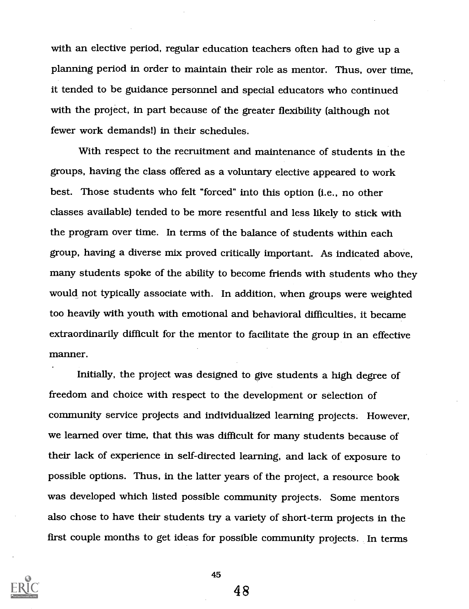with an elective period, regular education teachers often had to give up a planning period in order to maintain their role as mentor. Thus, over time, it tended to be guidance personnel and special educators who continued with the project, in part because of the greater flexibility (although not fewer work demands!) in their schedules.

With respect to the recruitment and maintenance of students in the groups, having the class offered as a voluntary elective appeared to work best. Those students who felt "forced" into this option (i.e., no other classes available) tended to be more resentful and less likely to stick with the program over time. In terms of the balance of students within each group, having a diverse mix proved critically important. As indicated above, many students spoke of the ability to become friends with students who they would not typically associate with. In addition, when groups were weighted too heavily with youth with emotional and behavioral difficulties, it became extraordinarily difficult for the mentor to facilitate the group in an effective manner.

Initially, the project was designed to give students a high degree of freedom and choice with respect to the development or selection of community service projects and individualized learning projects. However, we learned over time, that this was difficult for many students because of their lack of experience in self-directed learning, and lack of exposure to possible options. Thus, in the latter years of the project, a resource book was developed which listed possible community projects. Some mentors also chose to have their students try a variety of short-term projects in the first couple months to get ideas for possible community projects. In terms



45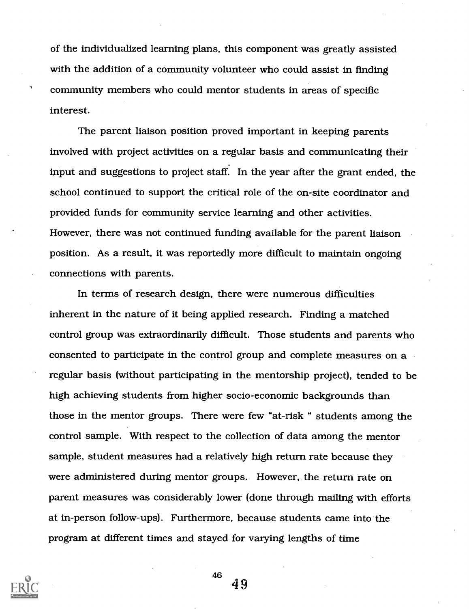of the individualized learning plans, this component was greatly assisted with the addition of a community volunteer who could assist in finding community members who could mentor students in areas of specific interest.

The parent liaison position proved important in keeping parents involved with project activities on a regular basis and communicating their input and suggestions to project staff. In the year after the grant ended, the school continued to support the critical role of the on-site coordinator and provided funds for community service learning and other activities. However, there was not continued funding available for the parent liaison position. As a result, it was reportedly more difficult to maintain ongoing connections with parents.

In terms of research design, there were numerous difficulties inherent in the nature of it being applied research. Finding a matched control group was extraordinarily difficult. Those students and parents who consented to participate in the control group and complete measures on a regular basis (without participating in the mentorship project), tended to be high achieving students from higher socio-economic backgrounds than those in the mentor groups. There were few "at-risk " students among the control sample. With respect to the collection of data among the mentor sample, student measures had a relatively high return rate because they were administered during mentor groups. However, the return rate on parent measures was considerably lower (done through mailing with efforts at in-person follow-ups). Furthermore, because students came into the program at different times and stayed for varying lengths of time

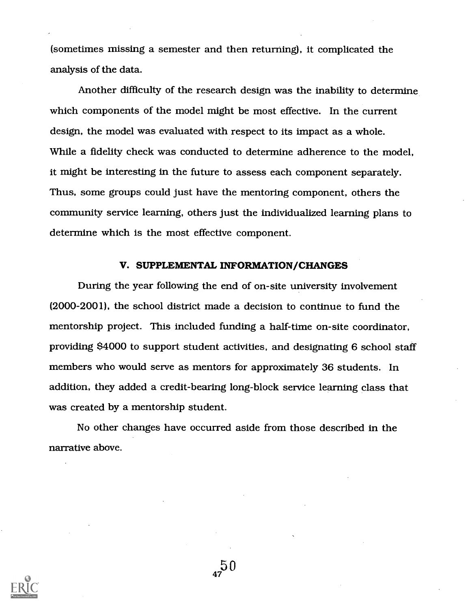(sometimes missing a semester and then returning), it complicated the analysis of the data.

Another difficulty of the research design was the inability to determine which components of the model might be most effective. In the current design, the model was evaluated with respect to its impact as a whole. While a fidelity check was conducted to determine adherence to the model, it might be interesting in the future to assess each component separately. Thus, some groups could just have the mentoring component, others the community service learning, others just the individualized learning plans to determine which is the most effective component.

#### V. SUPPLEMENTAL INFORMATION/CHANGES

During the year following the end of on-site university involvement (2000-2001), the school district made a decision to continue to fund the mentorship project. This included funding a half-time on-site coordinator, providing \$4000 to support student activities, and designating 6 school staff members who would serve as mentors for approximately 36 students. In addition, they added a credit-bearing long-block service learning class that was created by a mentorship student.

No other changes have occurred aside from those described in the narrative above.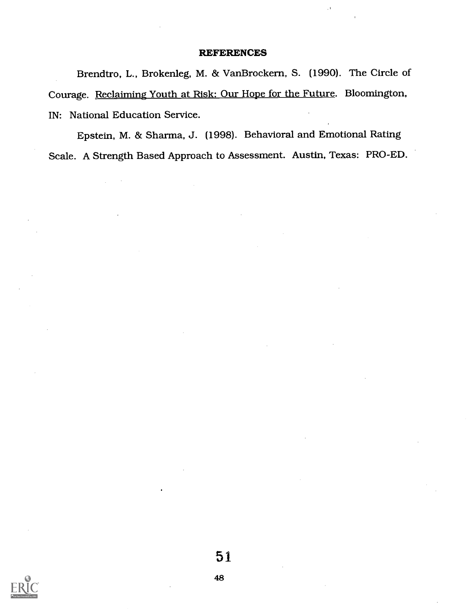#### **REFERENCES**

Brendtro, L., Brokenleg, M. & VanBrockern, S. (1990). The Circle of Courage. Reclaiming Youth at Risk: Our Hope for the Future. Bloomington, IN: National Education Service.

Epstein, M. & Sharma, J. (1998). Behavioral and Emotional Rating Scale. A Strength Based Approach to Assessment. Austin, Texas: PRO-ED.